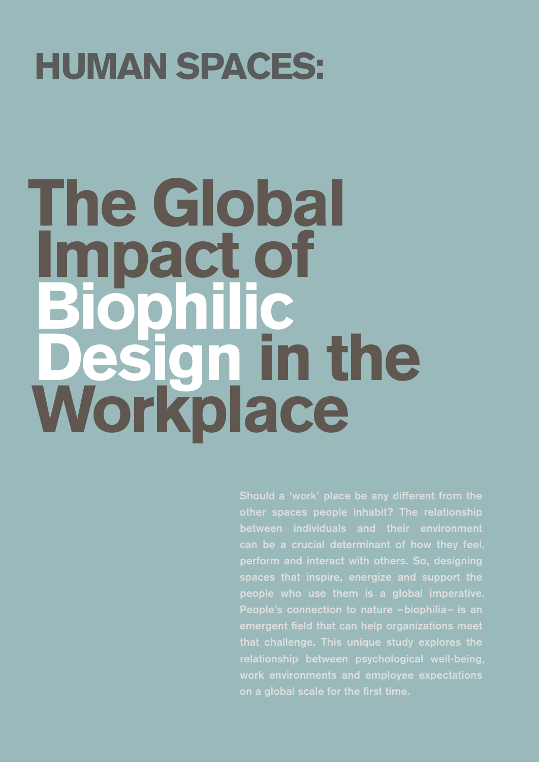## HUMAN SPACES:

## **The Global Inpact of** ophi **Jen in the** Workplace

**other spaces people inhabit? The relationship perform and interact with others. So, designing spaces that inspire, energize and support the people who use them is a global imperative. People's connection to nature –biophilia– is an emergent field that can help organizations meet that challenge. This unique study explores the relationship between psychological well-being, work environments and employee expectations on a global scale for the first time.**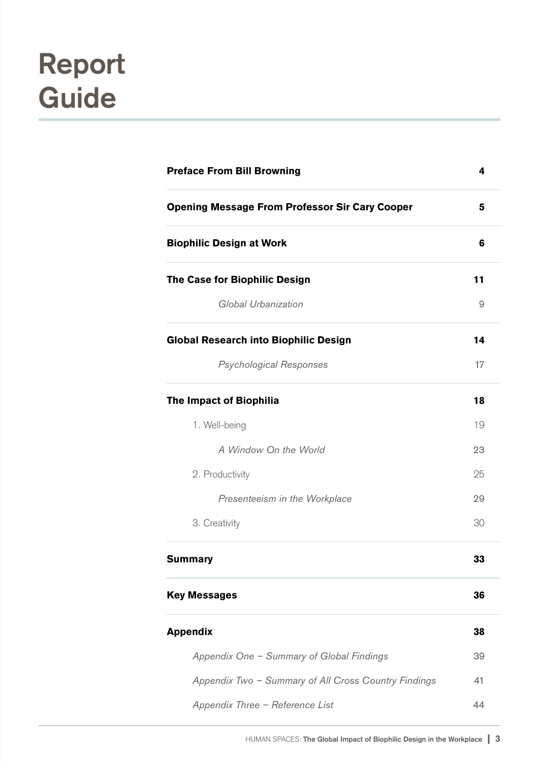### **Report Guide**

| <b>Preface From Bill Browning</b>                     |    |
|-------------------------------------------------------|----|
| <b>Opening Message From Professor Sir Cary Cooper</b> | 5  |
| <b>Biophilic Design at Work</b>                       | 6  |
| The Case for Biophilic Design                         | 11 |
| Global Urbanization                                   | 9  |
| <b>Global Research into Biophilic Design</b>          | 14 |
| <b>Psychological Responses</b>                        | 17 |
| <b>The Impact of Biophilia</b>                        | 18 |
| 1. Well-being                                         | 19 |
| A Window On the World                                 | 23 |
| 2. Productivity                                       | 25 |
| Presenteeism in the Workplace                         | 29 |
| 3. Creativity                                         | 30 |
| <b>Summary</b>                                        | 33 |
| <b>Key Messages</b>                                   | 36 |
| <b>Appendix</b>                                       | 38 |
| Appendix One - Summary of Global Findings             | 39 |
| Appendix Two - Summary of All Cross Country Findings  | 41 |
| Appendix Three - Reference List                       | 44 |
|                                                       |    |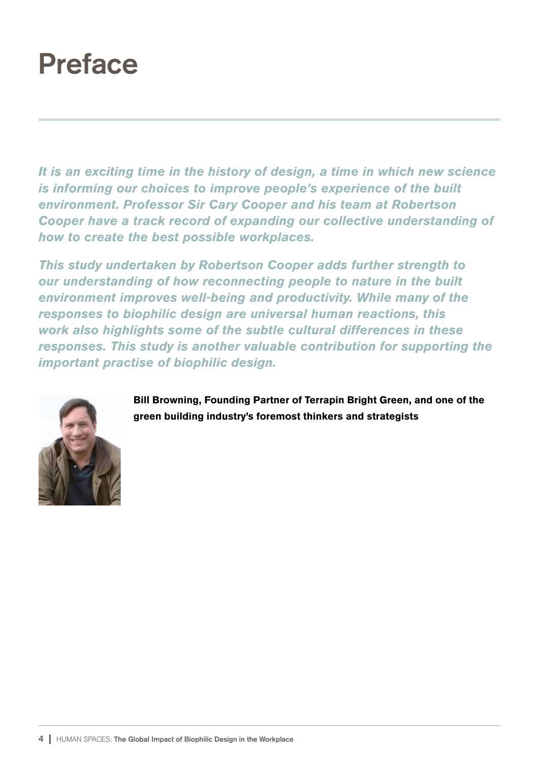#### **Preface**

*It is an exciting time in the history of design, a time in which new science is informing our choices to improve people's experience of the built environment. Professor Sir Cary Cooper and his team at Robertson Cooper have a track record of expanding our collective understanding of how to create the best possible workplaces.*

*This study undertaken by Robertson Cooper adds further strength to our understanding of how reconnecting people to nature in the built environment improves well-being and productivity. While many of the responses to biophilic design are universal human reactions, this work also highlights some of the subtle cultural differences in these responses. This study is another valuable contribution for supporting the important practise of biophilic design.*



Bill Browning, Founding Partner of Terrapin Bright Green, and one of the green building industry's foremost thinkers and strategists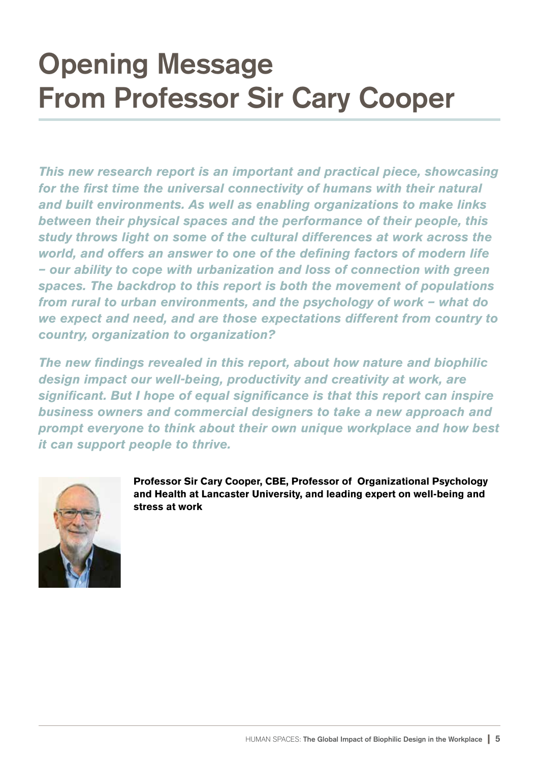### **Opening Message From Professor Sir Cary Cooper**

*This new research report is an important and practical piece, showcasing for the first time the universal connectivity of humans with their natural and built environments. As well as enabling organizations to make links between their physical spaces and the performance of their people, this study throws light on some of the cultural differences at work across the world, and offers an answer to one of the defining factors of modern life – our ability to cope with urbanization and loss of connection with green spaces. The backdrop to this report is both the movement of populations from rural to urban environments, and the psychology of work – what do we expect and need, and are those expectations different from country to country, organization to organization?*

*The new findings revealed in this report, about how nature and biophilic design impact our well-being, productivity and creativity at work, are significant. But I hope of equal significance is that this report can inspire business owners and commercial designers to take a new approach and prompt everyone to think about their own unique workplace and how best it can support people to thrive.*



Professor Sir Cary Cooper, CBE, Professor of Organizational Psychology and Health at Lancaster University, and leading expert on well-being and stress at work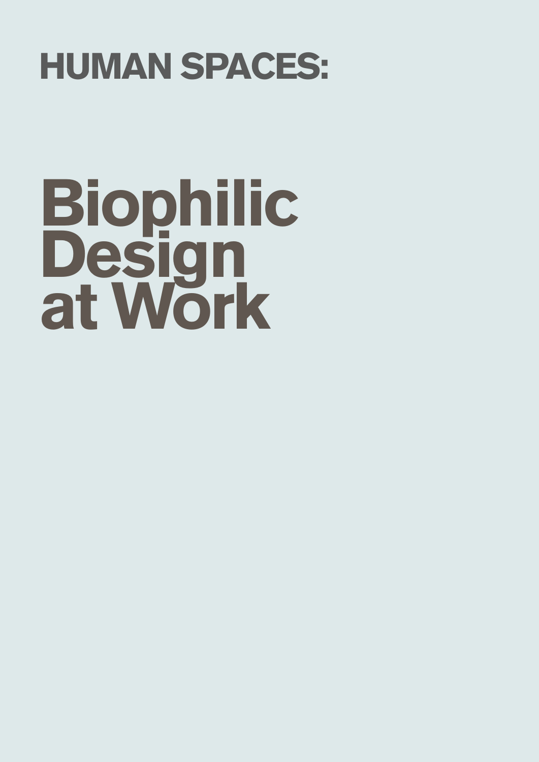## HUMAN SPACES:

# Biophilic Design at Work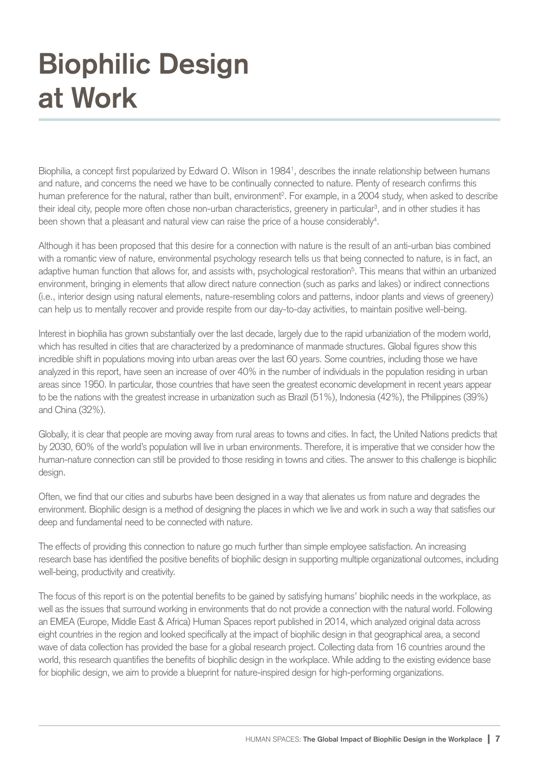Biophilia, a concept first popularized by Edward O. Wilson in 1984<sup>1</sup>, describes the innate relationship between humans and nature, and concerns the need we have to be continually connected to nature. Plenty of research confirms this human preference for the natural, rather than built, environment<sup>2</sup>. For example, in a 2004 study, when asked to describe their ideal city, people more often chose non-urban characteristics, greenery in particular<sup>3</sup>, and in other studies it has been shown that a pleasant and natural view can raise the price of a house considerably<sup>4</sup>.

Although it has been proposed that this desire for a connection with nature is the result of an anti-urban bias combined with a romantic view of nature, environmental psychology research tells us that being connected to nature, is in fact, an adaptive human function that allows for, and assists with, psychological restoration<sup>5</sup>. This means that within an urbanized environment, bringing in elements that allow direct nature connection (such as parks and lakes) or indirect connections (i.e., interior design using natural elements, nature-resembling colors and patterns, indoor plants and views of greenery) can help us to mentally recover and provide respite from our day-to-day activities, to maintain positive well-being.

Interest in biophilia has grown substantially over the last decade, largely due to the rapid urbaniziation of the modern world, which has resulted in cities that are characterized by a predominance of manmade structures. Global figures show this incredible shift in populations moving into urban areas over the last 60 years. Some countries, including those we have analyzed in this report, have seen an increase of over 40% in the number of individuals in the population residing in urban areas since 1950. In particular, those countries that have seen the greatest economic development in recent years appear to be the nations with the greatest increase in urbanization such as Brazil (51%), Indonesia (42%), the Philippines (39%) and China (32%).

Globally, it is clear that people are moving away from rural areas to towns and cities. In fact, the United Nations predicts that by 2030, 60% of the world's population will live in urban environments. Therefore, it is imperative that we consider how the human-nature connection can still be provided to those residing in towns and cities. The answer to this challenge is biophilic design.

Often, we find that our cities and suburbs have been designed in a way that alienates us from nature and degrades the environment. Biophilic design is a method of designing the places in which we live and work in such a way that satisfies our deep and fundamental need to be connected with nature.

The effects of providing this connection to nature go much further than simple employee satisfaction. An increasing research base has identified the positive benefits of biophilic design in supporting multiple organizational outcomes, including well-being, productivity and creativity.

The focus of this report is on the potential benefits to be gained by satisfying humans' biophilic needs in the workplace, as well as the issues that surround working in environments that do not provide a connection with the natural world. Following an EMEA (Europe, Middle East & Africa) Human Spaces report published in 2014, which analyzed original data across eight countries in the region and looked specifically at the impact of biophilic design in that geographical area, a second wave of data collection has provided the base for a global research project. Collecting data from 16 countries around the world, this research quantifies the benefits of biophilic design in the workplace. While adding to the existing evidence base for biophilic design, we aim to provide a blueprint for nature-inspired design for high-performing organizations.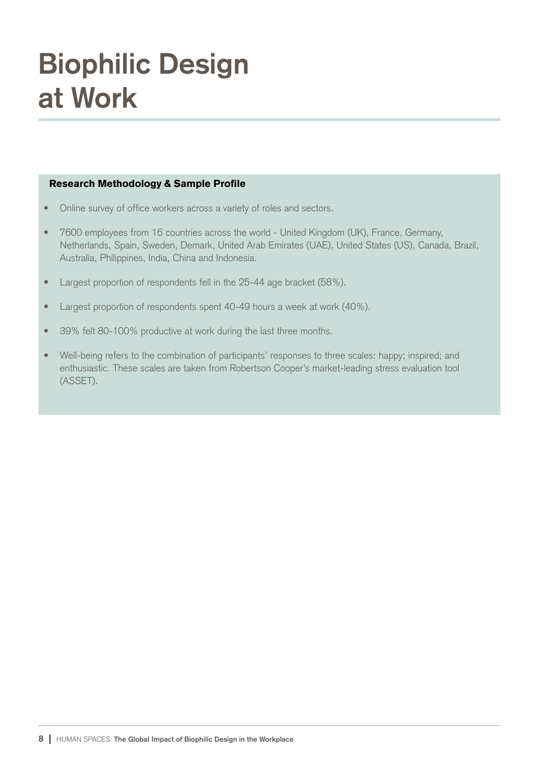#### Research Methodology & Sample Profile

- Online survey of office workers across a variety of roles and sectors.
- 7600 employees from 16 countries across the world United Kingdom (UK), France, Germany, Netherlands, Spain, Sweden, Demark, United Arab Emirates (UAE), United States (US), Canada, Brazil, Australia, Philippines, India, China and Indonesia.
- Largest proportion of respondents fell in the 25-44 age bracket (58%).
- Largest proportion of respondents spent 40-49 hours a week at work (40%).
- 39% felt 80-100% productive at work during the last three months.
- Well-being refers to the combination of participants' responses to three scales: happy; inspired; and enthusiastic. These scales are taken from Robertson Cooper's market-leading stress evaluation tool (ASSET).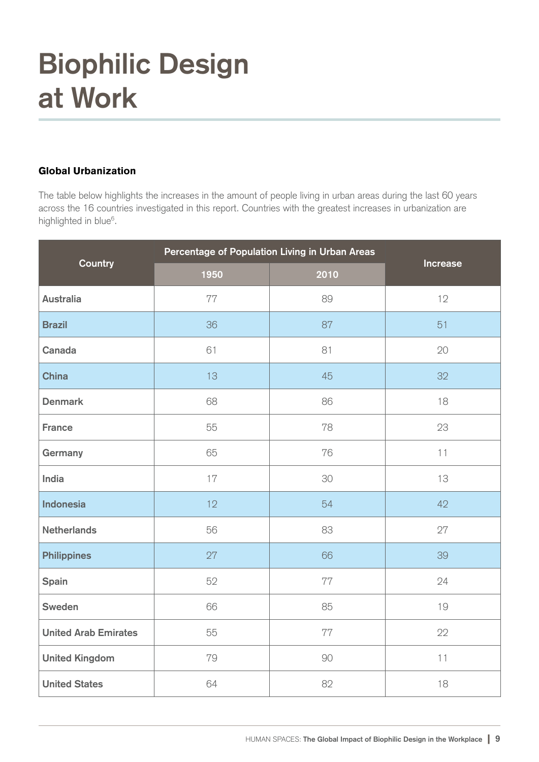#### Global Urbanization

The table below highlights the increases in the amount of people living in urban areas during the last 60 years across the 16 countries investigated in this report. Countries with the greatest increases in urbanization are highlighted in blue<sup>6</sup>.

| Country                     | Percentage of Population Living in Urban Areas |      | <b>Increase</b> |
|-----------------------------|------------------------------------------------|------|-----------------|
|                             | 1950                                           | 2010 |                 |
| <b>Australia</b>            | 77                                             | 89   | 12              |
| <b>Brazil</b>               | 36                                             | 87   | 51              |
| Canada                      | 61                                             | 81   | 20              |
| <b>China</b>                | 13                                             | 45   | 32              |
| <b>Denmark</b>              | 68                                             | 86   | 18              |
| <b>France</b>               | 55                                             | 78   | 23              |
| Germany                     | 65                                             | 76   | 11              |
| India                       | 17                                             | 30   | 13              |
| <b>Indonesia</b>            | 12                                             | 54   | 42              |
| <b>Netherlands</b>          | 56                                             | 83   | 27              |
| <b>Philippines</b>          | 27                                             | 66   | 39              |
| Spain                       | 52                                             | 77   | 24              |
| Sweden                      | 66                                             | 85   | 19              |
| <b>United Arab Emirates</b> | 55                                             | 77   | 22              |
| <b>United Kingdom</b>       | 79                                             | 90   | 11              |
| <b>United States</b>        | 64                                             | 82   | 18              |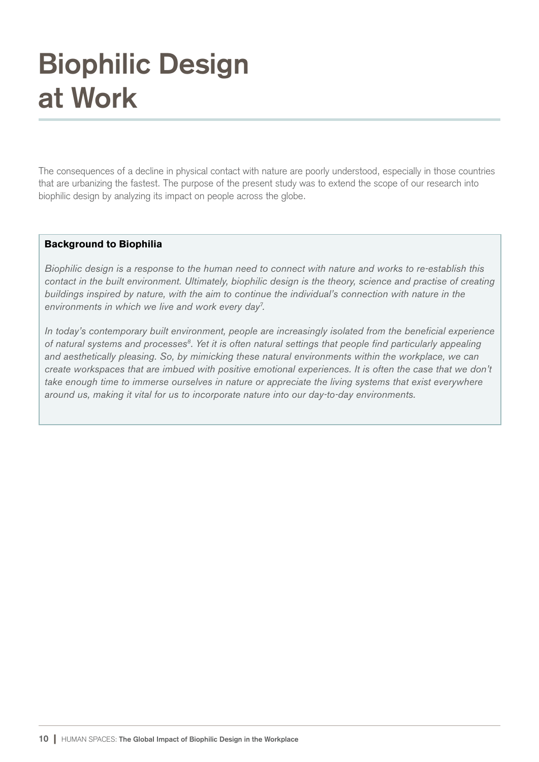The consequences of a decline in physical contact with nature are poorly understood, especially in those countries that are urbanizing the fastest. The purpose of the present study was to extend the scope of our research into biophilic design by analyzing its impact on people across the globe.

#### Background to Biophilia

*Biophilic design is a response to the human need to connect with nature and works to re-establish this contact in the built environment. Ultimately, biophilic design is the theory, science and practise of creating buildings inspired by nature, with the aim to continue the individual's connection with nature in the environments in which we live and work every day<sup>7</sup> .*

*In today's contemporary built environment, people are increasingly isolated from the beneficial experience of natural systems and processes<sup>8</sup> . Yet it is often natural settings that people find particularly appealing and aesthetically pleasing. So, by mimicking these natural environments within the workplace, we can create workspaces that are imbued with positive emotional experiences. It is often the case that we don't take enough time to immerse ourselves in nature or appreciate the living systems that exist everywhere around us, making it vital for us to incorporate nature into our day-to-day environments.*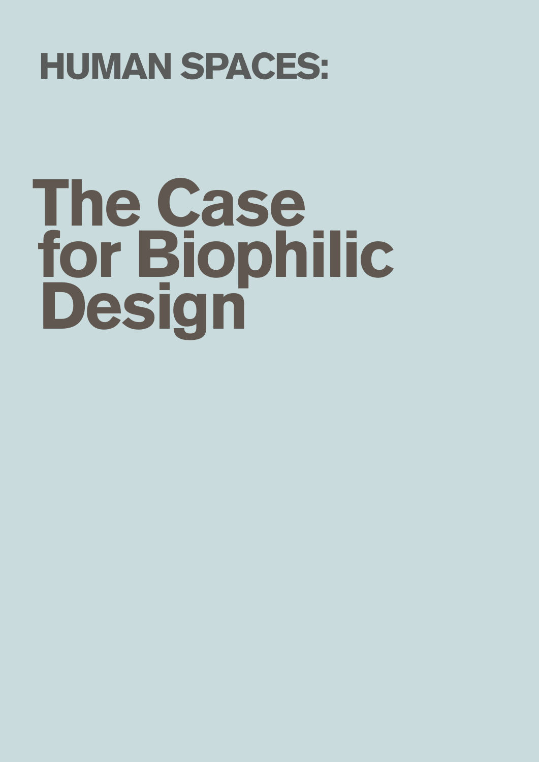## HUMAN SPACES:

# The Case for Biophilic **Design**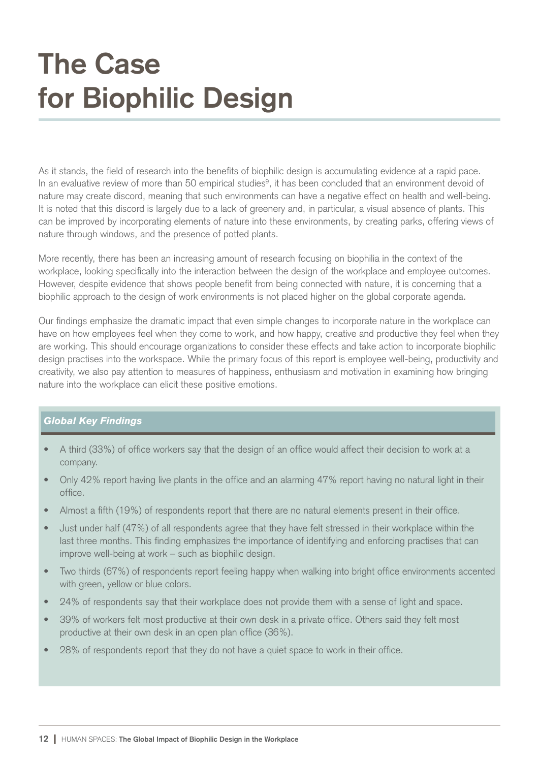### **The Case for Biophilic Design**

As it stands, the field of research into the benefits of biophilic design is accumulating evidence at a rapid pace. In an evaluative review of more than 50 empirical studies<sup>9</sup>, it has been concluded that an environment devoid of nature may create discord, meaning that such environments can have a negative effect on health and well-being. It is noted that this discord is largely due to a lack of greenery and, in particular, a visual absence of plants. This can be improved by incorporating elements of nature into these environments, by creating parks, offering views of nature through windows, and the presence of potted plants.

More recently, there has been an increasing amount of research focusing on biophilia in the context of the workplace, looking specifically into the interaction between the design of the workplace and employee outcomes. However, despite evidence that shows people benefit from being connected with nature, it is concerning that a biophilic approach to the design of work environments is not placed higher on the global corporate agenda.

Our findings emphasize the dramatic impact that even simple changes to incorporate nature in the workplace can have on how employees feel when they come to work, and how happy, creative and productive they feel when they are working. This should encourage organizations to consider these effects and take action to incorporate biophilic design practises into the workspace. While the primary focus of this report is employee well-being, productivity and creativity, we also pay attention to measures of happiness, enthusiasm and motivation in examining how bringing nature into the workplace can elicit these positive emotions.

#### *Global Key Findings*

- A third (33%) of office workers say that the design of an office would affect their decision to work at a company.
- Only 42% report having live plants in the office and an alarming 47% report having no natural light in their office.
- Almost a fifth (19%) of respondents report that there are no natural elements present in their office.
- Just under half (47%) of all respondents agree that they have felt stressed in their workplace within the last three months. This finding emphasizes the importance of identifying and enforcing practises that can improve well-being at work – such as biophilic design.
- Two thirds (67%) of respondents report feeling happy when walking into bright office environments accented with green, yellow or blue colors.
- 24% of respondents say that their workplace does not provide them with a sense of light and space.
- 39% of workers felt most productive at their own desk in a private office. Others said they felt most productive at their own desk in an open plan office (36%).
- 28% of respondents report that they do not have a quiet space to work in their office.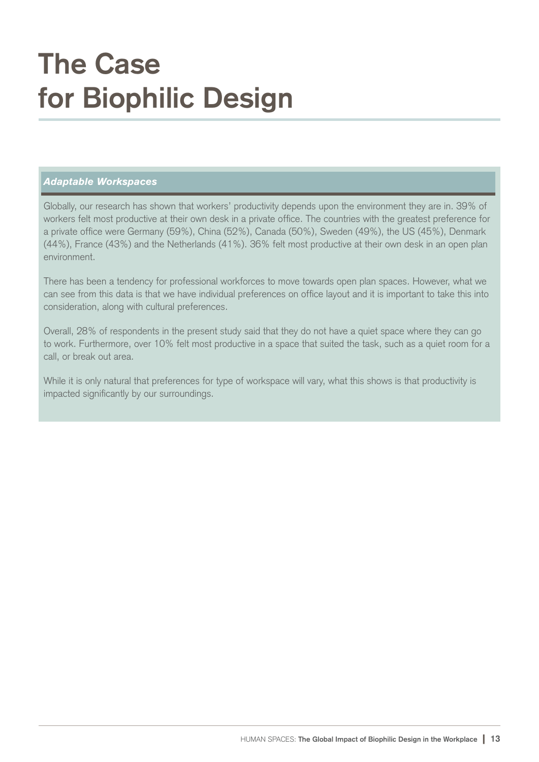### **The Case for Biophilic Design**

#### *Adaptable Workspaces*

Globally, our research has shown that workers' productivity depends upon the environment they are in. 39% of workers felt most productive at their own desk in a private office. The countries with the greatest preference for a private office were Germany (59%), China (52%), Canada (50%), Sweden (49%), the US (45%), Denmark (44%), France (43%) and the Netherlands (41%). 36% felt most productive at their own desk in an open plan environment.

There has been a tendency for professional workforces to move towards open plan spaces. However, what we can see from this data is that we have individual preferences on office layout and it is important to take this into consideration, along with cultural preferences.

Overall, 28% of respondents in the present study said that they do not have a quiet space where they can go to work. Furthermore, over 10% felt most productive in a space that suited the task, such as a quiet room for a call, or break out area.

While it is only natural that preferences for type of workspace will vary, what this shows is that productivity is impacted significantly by our surroundings.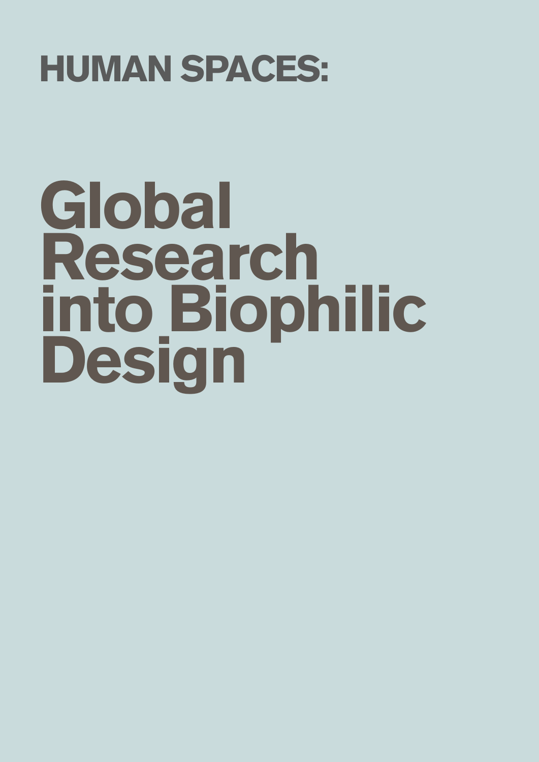## HUMAN SPACES:

# Global Research into Biophilic Design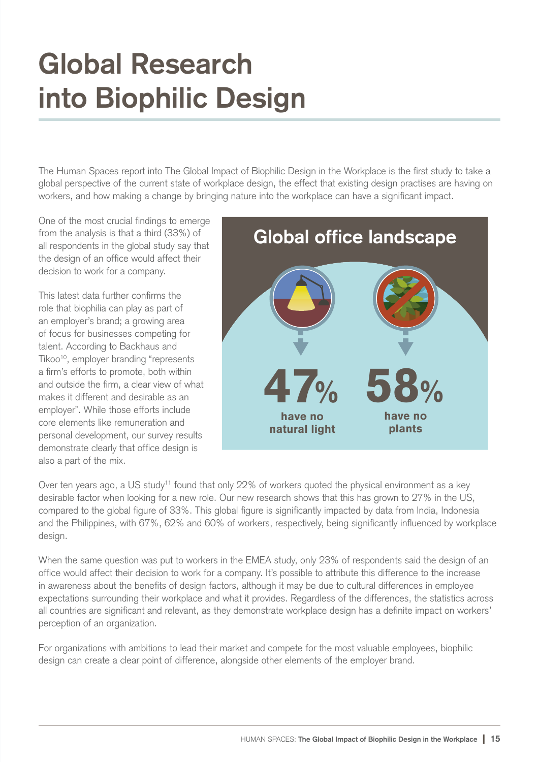### **Global Research into Biophilic Design**

The Human Spaces report into The Global Impact of Biophilic Design in the Workplace is the first study to take a global perspective of the current state of workplace design, the effect that existing design practises are having on workers, and how making a change by bringing nature into the workplace can have a significant impact.

One of the most crucial findings to emerge from the analysis is that a third (33%) of all respondents in the global study say that the design of an office would affect their decision to work for a company.

This latest data further confirms the role that biophilia can play as part of an employer's brand; a growing area of focus for businesses competing for talent. According to Backhaus and Tikoo<sup>10</sup>, employer branding "represents a firm's efforts to promote, both within and outside the firm, a clear view of what makes it different and desirable as an employer". While those efforts include core elements like remuneration and personal development, our survey results demonstrate clearly that office design is also a part of the mix.



Over ten years ago, a US study<sup>11</sup> found that only 22% of workers quoted the physical environment as a key desirable factor when looking for a new role. Our new research shows that this has grown to 27% in the US, compared to the global figure of 33%. This global figure is significantly impacted by data from India, Indonesia and the Philippines, with 67%, 62% and 60% of workers, respectively, being significantly influenced by workplace design.

When the same question was put to workers in the EMEA study, only 23% of respondents said the design of an office would affect their decision to work for a company. It's possible to attribute this difference to the increase in awareness about the benefits of design factors, although it may be due to cultural differences in employee expectations surrounding their workplace and what it provides. Regardless of the differences, the statistics across all countries are significant and relevant, as they demonstrate workplace design has a definite impact on workers' perception of an organization.

For organizations with ambitions to lead their market and compete for the most valuable employees, biophilic design can create a clear point of difference, alongside other elements of the employer brand.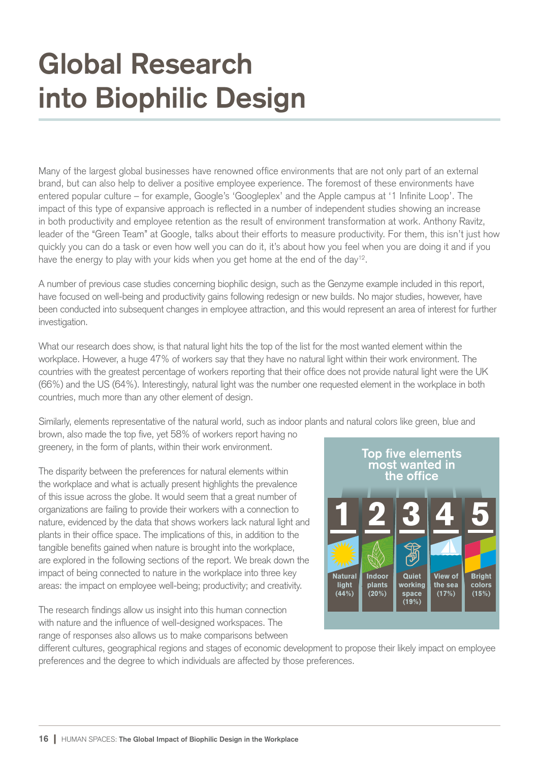### **Global Research into Biophilic Design**

Many of the largest global businesses have renowned office environments that are not only part of an external brand, but can also help to deliver a positive employee experience. The foremost of these environments have entered popular culture – for example, Google's 'Googleplex' and the Apple campus at '1 Infinite Loop'. The impact of this type of expansive approach is reflected in a number of independent studies showing an increase in both productivity and employee retention as the result of environment transformation at work. Anthony Ravitz, leader of the "Green Team" at Google, talks about their efforts to measure productivity. For them, this isn't just how quickly you can do a task or even how well you can do it, it's about how you feel when you are doing it and if you have the energy to play with your kids when you get home at the end of the day $^{12}.$ 

A number of previous case studies concerning biophilic design, such as the Genzyme example included in this report, have focused on well-being and productivity gains following redesign or new builds. No major studies, however, have been conducted into subsequent changes in employee attraction, and this would represent an area of interest for further investigation.

What our research does show, is that natural light hits the top of the list for the most wanted element within the workplace. However, a huge 47% of workers say that they have no natural light within their work environment. The countries with the greatest percentage of workers reporting that their office does not provide natural light were the UK (66%) and the US (64%). Interestingly, natural light was the number one requested element in the workplace in both countries, much more than any other element of design.

Similarly, elements representative of the natural world, such as indoor plants and natural colors like green, blue and

brown, also made the top five, yet 58% of workers report having no greenery, in the form of plants, within their work environment.

The disparity between the preferences for natural elements within the workplace and what is actually present highlights the prevalence of this issue across the globe. It would seem that a great number of organizations are failing to provide their workers with a connection to nature, evidenced by the data that shows workers lack natural light and plants in their office space. The implications of this, in addition to the tangible benefits gained when nature is brought into the workplace, are explored in the following sections of the report. We break down the impact of being connected to nature in the workplace into three key areas: the impact on employee well-being; productivity; and creativity.

The research findings allow us insight into this human connection with nature and the influence of well-designed workspaces. The range of responses also allows us to make comparisons between



different cultures, geographical regions and stages of economic development to propose their likely impact on employee preferences and the degree to which individuals are affected by those preferences.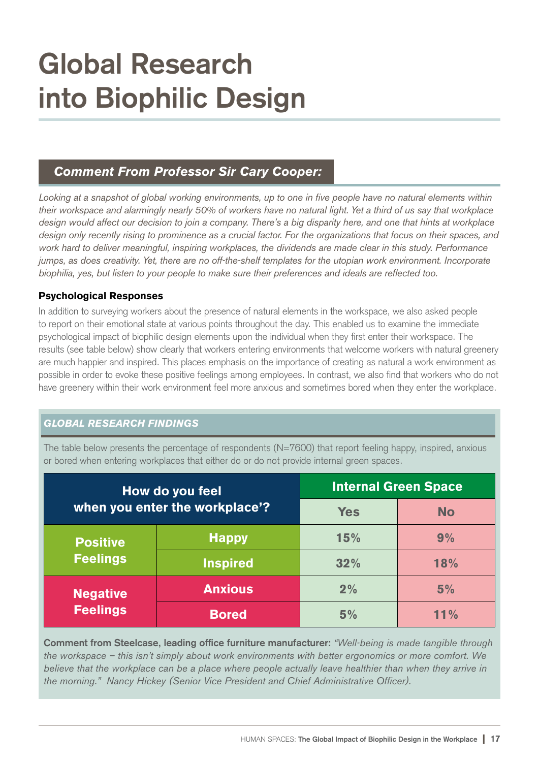### **Global Research into Biophilic Design**

#### *Comment From Professor Sir Cary Cooper:*

*Looking at a snapshot of global working environments, up to one in five people have no natural elements within their workspace and alarmingly nearly 50% of workers have no natural light. Yet a third of us say that workplace design would affect our decision to join a company. There's a big disparity here, and one that hints at workplace design only recently rising to prominence as a crucial factor. For the organizations that focus on their spaces, and work hard to deliver meaningful, inspiring workplaces, the dividends are made clear in this study. Performance jumps, as does creativity. Yet, there are no off-the-shelf templates for the utopian work environment. Incorporate biophilia, yes, but listen to your people to make sure their preferences and ideals are reflected too.*

#### Psychological Responses

In addition to surveying workers about the presence of natural elements in the workspace, we also asked people to report on their emotional state at various points throughout the day. This enabled us to examine the immediate psychological impact of biophilic design elements upon the individual when they first enter their workspace. The results (see table below) show clearly that workers entering environments that welcome workers with natural greenery are much happier and inspired. This places emphasis on the importance of creating as natural a work environment as possible in order to evoke these positive feelings among employees. In contrast, we also find that workers who do not have greenery within their work environment feel more anxious and sometimes bored when they enter the workplace.

#### *GLOBAL RESEARCH FINDINGS*

The table below presents the percentage of respondents (N=7600) that report feeling happy, inspired, anxious or bored when entering workplaces that either do or do not provide internal green spaces.

| How do you feel<br>when you enter the workplace'? |                 | <b>Internal Green Space</b> |           |
|---------------------------------------------------|-----------------|-----------------------------|-----------|
|                                                   |                 | <b>Yes</b>                  | <b>No</b> |
| <b>Positive</b><br><b>Feelings</b>                | <b>Happy</b>    | 15%                         | 9%        |
|                                                   | <b>Inspired</b> | 32%                         | 18%       |
| <b>Negative</b><br><b>Feelings</b>                | <b>Anxious</b>  | 2%                          | 5%        |
|                                                   | <b>Bored</b>    | 5%                          | 11%       |

**Comment from Steelcase, leading office furniture manufacturer:** *"Well-being is made tangible through the workspace – this isn't simply about work environments with better ergonomics or more comfort. We believe that the workplace can be a place where people actually leave healthier than when they arrive in the morning." Nancy Hickey (Senior Vice President and Chief Administrative Officer).*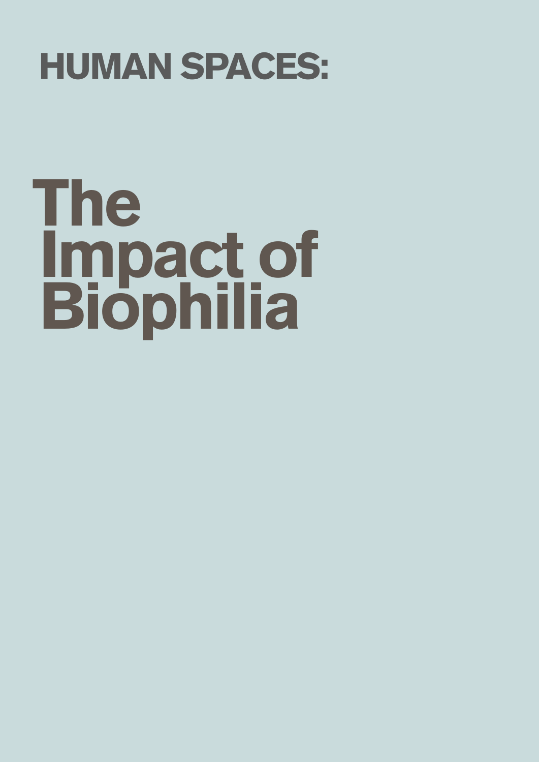## HUMAN SPACES:

## The Impact of Biophilia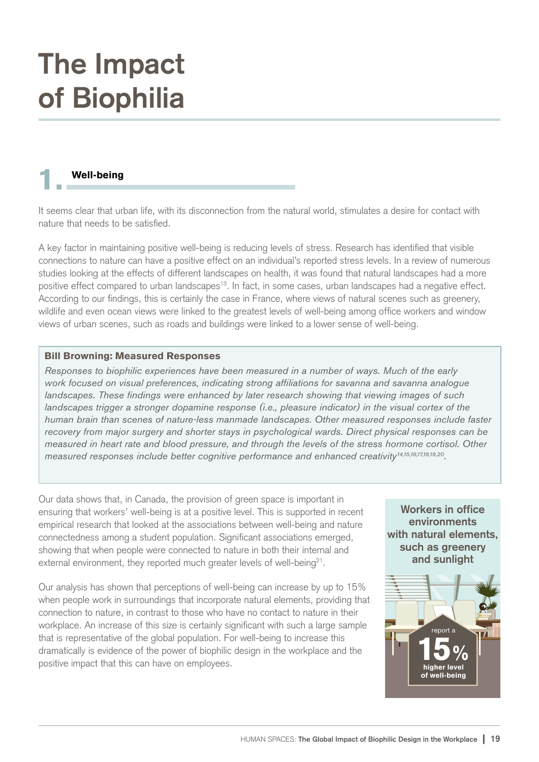#### Well-being

It seems clear that urban life, with its disconnection from the natural world, stimulates a desire for contact with nature that needs to be satisfied.

A key factor in maintaining positive well-being is reducing levels of stress. Research has identified that visible connections to nature can have a positive effect on an individual's reported stress levels. In a review of numerous studies looking at the effects of different landscapes on health, it was found that natural landscapes had a more positive effect compared to urban landscapes<sup>13</sup>. In fact, in some cases, urban landscapes had a negative effect. According to our findings, this is certainly the case in France, where views of natural scenes such as greenery, wildlife and even ocean views were linked to the greatest levels of well-being among office workers and window views of urban scenes, such as roads and buildings were linked to a lower sense of well-being.

#### Bill Browning: Measured Responses

*Responses to biophilic experiences have been measured in a number of ways. Much of the early work focused on visual preferences, indicating strong affiliations for savanna and savanna analogue landscapes. These findings were enhanced by later research showing that viewing images of such landscapes trigger a stronger dopamine response (i.e., pleasure indicator) in the visual cortex of the human brain than scenes of nature-less manmade landscapes. Other measured responses include faster recovery from major surgery and shorter stays in psychological wards. Direct physical responses can be measured in heart rate and blood pressure, and through the levels of the stress hormone cortisol. Other measured responses include better cognitive performance and enhanced creativity14,15,16,17,18,19,20 .* 

Our data shows that, in Canada, the provision of green space is important in ensuring that workers' well-being is at a positive level. This is supported in recent empirical research that looked at the associations between well-being and nature connectedness among a student population. Significant associations emerged, showing that when people were connected to nature in both their internal and external environment, they reported much greater levels of well-being $^{21}$ .

Our analysis has shown that perceptions of well-being can increase by up to 15% when people work in surroundings that incorporate natural elements, providing that connection to nature, in contrast to those who have no contact to nature in their workplace. An increase of this size is certainly significant with such a large sample that is representative of the global population. For well-being to increase this dramatically is evidence of the power of biophilic design in the workplace and the positive impact that this can have on employees.

**Workers in office environments with natural elements, such as greenery and sunlight**

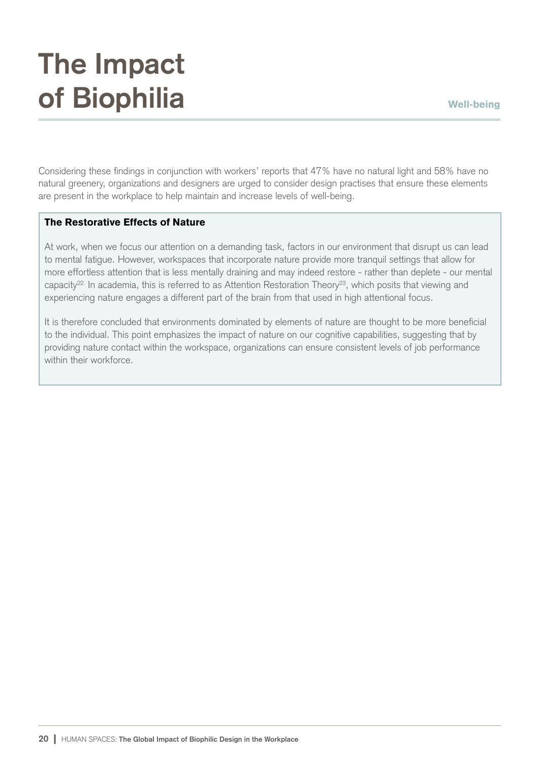### **The Impact of Biophilia** Well-being

Considering these findings in conjunction with workers' reports that 47% have no natural light and 58% have no natural greenery, organizations and designers are urged to consider design practises that ensure these elements are present in the workplace to help maintain and increase levels of well-being.

#### The Restorative Effects of Nature

At work, when we focus our attention on a demanding task, factors in our environment that disrupt us can lead to mental fatigue. However, workspaces that incorporate nature provide more tranquil settings that allow for more effortless attention that is less mentally draining and may indeed restore - rather than deplete - our mental capacity<sup>22.</sup> In academia, this is referred to as Attention Restoration Theory<sup>23</sup>, which posits that viewing and experiencing nature engages a different part of the brain from that used in high attentional focus.

It is therefore concluded that environments dominated by elements of nature are thought to be more beneficial to the individual. This point emphasizes the impact of nature on our cognitive capabilities, suggesting that by providing nature contact within the workspace, organizations can ensure consistent levels of job performance within their workforce.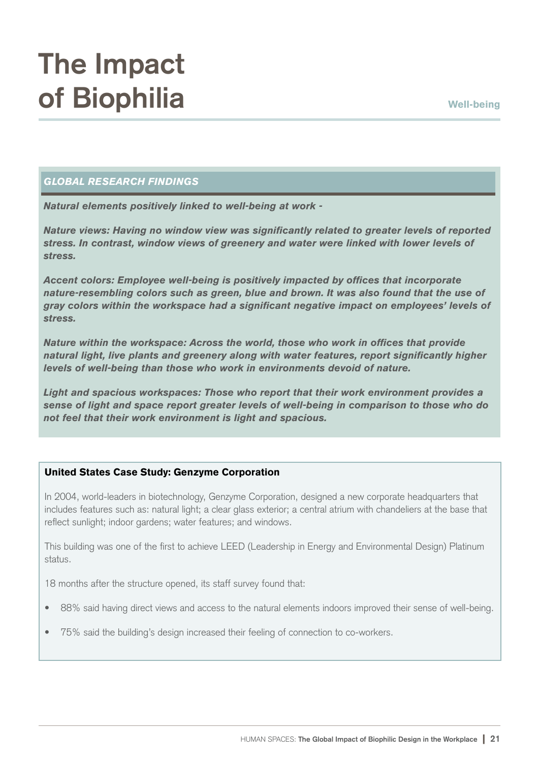#### *GLOBAL RESEARCH FINDINGS*

*Natural elements positively linked to well-being at work -*

*Nature views: Having no window view was significantly related to greater levels of reported stress. In contrast, window views of greenery and water were linked with lower levels of stress.*

*Accent colors: Employee well-being is positively impacted by offices that incorporate nature-resembling colors such as green, blue and brown. It was also found that the use of gray colors within the workspace had a significant negative impact on employees' levels of stress.*

*Nature within the workspace: Across the world, those who work in offices that provide natural light, live plants and greenery along with water features, report significantly higher levels of well-being than those who work in environments devoid of nature.* 

*Light and spacious workspaces: Those who report that their work environment provides a sense of light and space report greater levels of well-being in comparison to those who do not feel that their work environment is light and spacious.* 

#### United States Case Study: Genzyme Corporation

In 2004, world-leaders in biotechnology, Genzyme Corporation, designed a new corporate headquarters that includes features such as: natural light; a clear glass exterior; a central atrium with chandeliers at the base that reflect sunlight; indoor gardens; water features; and windows.

This building was one of the first to achieve LEED (Leadership in Energy and Environmental Design) Platinum status.

18 months after the structure opened, its staff survey found that:

- 88% said having direct views and access to the natural elements indoors improved their sense of well-being.
- 75% said the building's design increased their feeling of connection to co-workers.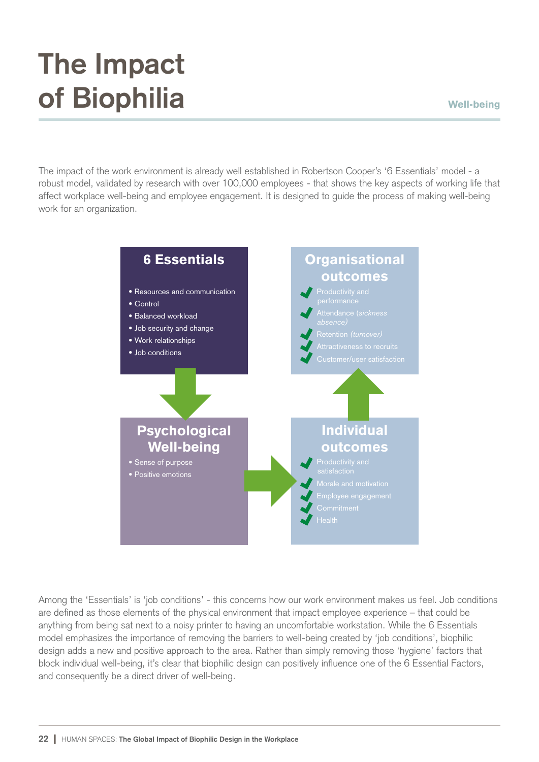The impact of the work environment is already well established in Robertson Cooper's '6 Essentials' model - a robust model, validated by research with over 100,000 employees - that shows the key aspects of working life that affect workplace well-being and employee engagement. It is designed to guide the process of making well-being work for an organization.



Among the 'Essentials' is 'job conditions' - this concerns how our work environment makes us feel. Job conditions are defined as those elements of the physical environment that impact employee experience – that could be anything from being sat next to a noisy printer to having an uncomfortable workstation. While the 6 Essentials model emphasizes the importance of removing the barriers to well-being created by 'job conditions', biophilic design adds a new and positive approach to the area. Rather than simply removing those 'hygiene' factors that block individual well-being, it's clear that biophilic design can positively influence one of the 6 Essential Factors, and consequently be a direct driver of well-being.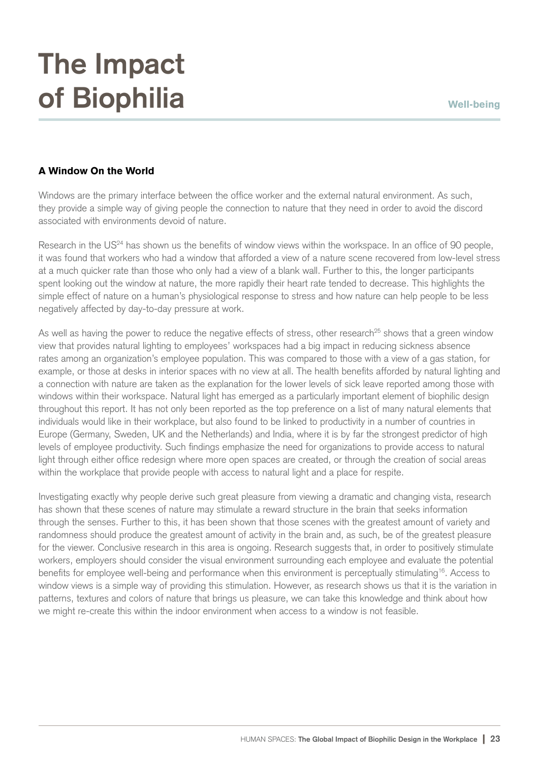#### A Window On the World

Windows are the primary interface between the office worker and the external natural environment. As such, they provide a simple way of giving people the connection to nature that they need in order to avoid the discord associated with environments devoid of nature.

Research in the US<sup>24</sup> has shown us the benefits of window views within the workspace. In an office of 90 people, it was found that workers who had a window that afforded a view of a nature scene recovered from low-level stress at a much quicker rate than those who only had a view of a blank wall. Further to this, the longer participants spent looking out the window at nature, the more rapidly their heart rate tended to decrease. This highlights the simple effect of nature on a human's physiological response to stress and how nature can help people to be less negatively affected by day-to-day pressure at work.

As well as having the power to reduce the negative effects of stress, other research<sup>25</sup> shows that a green window view that provides natural lighting to employees' workspaces had a big impact in reducing sickness absence rates among an organization's employee population. This was compared to those with a view of a gas station, for example, or those at desks in interior spaces with no view at all. The health benefits afforded by natural lighting and a connection with nature are taken as the explanation for the lower levels of sick leave reported among those with windows within their workspace. Natural light has emerged as a particularly important element of biophilic design throughout this report. It has not only been reported as the top preference on a list of many natural elements that individuals would like in their workplace, but also found to be linked to productivity in a number of countries in Europe (Germany, Sweden, UK and the Netherlands) and India, where it is by far the strongest predictor of high levels of employee productivity. Such findings emphasize the need for organizations to provide access to natural light through either office redesign where more open spaces are created, or through the creation of social areas within the workplace that provide people with access to natural light and a place for respite.

Investigating exactly why people derive such great pleasure from viewing a dramatic and changing vista, research has shown that these scenes of nature may stimulate a reward structure in the brain that seeks information through the senses. Further to this, it has been shown that those scenes with the greatest amount of variety and randomness should produce the greatest amount of activity in the brain and, as such, be of the greatest pleasure for the viewer. Conclusive research in this area is ongoing. Research suggests that, in order to positively stimulate workers, employers should consider the visual environment surrounding each employee and evaluate the potential benefits for employee well-being and performance when this environment is perceptually stimulating<sup>16</sup>. Access to window views is a simple way of providing this stimulation. However, as research shows us that it is the variation in patterns, textures and colors of nature that brings us pleasure, we can take this knowledge and think about how we might re-create this within the indoor environment when access to a window is not feasible.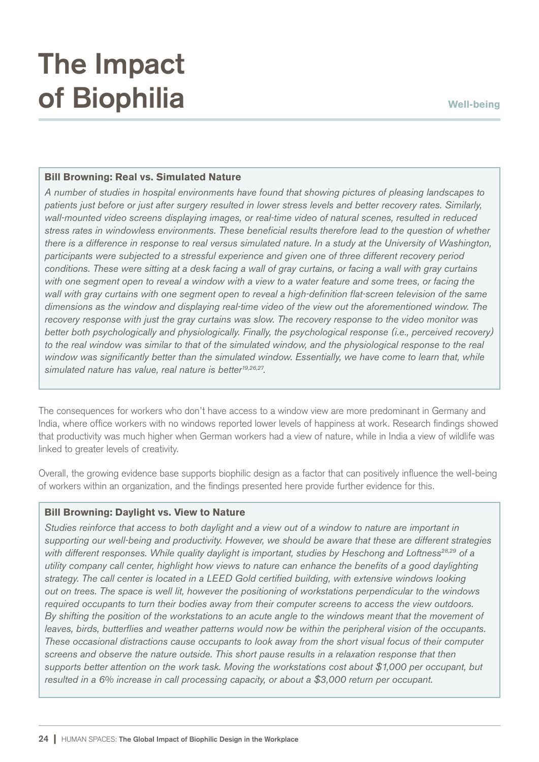#### Bill Browning: Real vs. Simulated Nature

*A number of studies in hospital environments have found that showing pictures of pleasing landscapes to patients just before or just after surgery resulted in lower stress levels and better recovery rates. Similarly, wall-mounted video screens displaying images, or real-time video of natural scenes, resulted in reduced stress rates in windowless environments. These beneficial results therefore lead to the question of whether there is a difference in response to real versus simulated nature. In a study at the University of Washington, participants were subjected to a stressful experience and given one of three different recovery period conditions. These were sitting at a desk facing a wall of gray curtains, or facing a wall with gray curtains with one segment open to reveal a window with a view to a water feature and some trees, or facing the wall with gray curtains with one segment open to reveal a high-definition flat-screen television of the same dimensions as the window and displaying real-time video of the view out the aforementioned window. The recovery response with just the gray curtains was slow. The recovery response to the video monitor was better both psychologically and physiologically. Finally, the psychological response (i.e., perceived recovery) to the real window was similar to that of the simulated window, and the physiological response to the real window was significantly better than the simulated window. Essentially, we have come to learn that, while simulated nature has value, real nature is better19,26,27 .*

The consequences for workers who don't have access to a window view are more predominant in Germany and India, where office workers with no windows reported lower levels of happiness at work. Research findings showed that productivity was much higher when German workers had a view of nature, while in India a view of wildlife was linked to greater levels of creativity.

Overall, the growing evidence base supports biophilic design as a factor that can positively influence the well-being of workers within an organization, and the findings presented here provide further evidence for this.

#### Bill Browning: Daylight vs. View to Nature

*Studies reinforce that access to both daylight and a view out of a window to nature are important in supporting our well-being and productivity. However, we should be aware that these are different strategies with different responses. While quality daylight is important, studies by Heschong and Loftness28,29 of a utility company call center, highlight how views to nature can enhance the benefits of a good daylighting strategy. The call center is located in a LEED Gold certified building, with extensive windows looking out on trees. The space is well lit, however the positioning of workstations perpendicular to the windows required occupants to turn their bodies away from their computer screens to access the view outdoors. By shifting the position of the workstations to an acute angle to the windows meant that the movement of leaves, birds, butterflies and weather patterns would now be within the peripheral vision of the occupants. These occasional distractions cause occupants to look away from the short visual focus of their computer screens and observe the nature outside. This short pause results in a relaxation response that then supports better attention on the work task. Moving the workstations cost about \$1,000 per occupant, but resulted in a 6% increase in call processing capacity, or about a \$3,000 return per occupant.*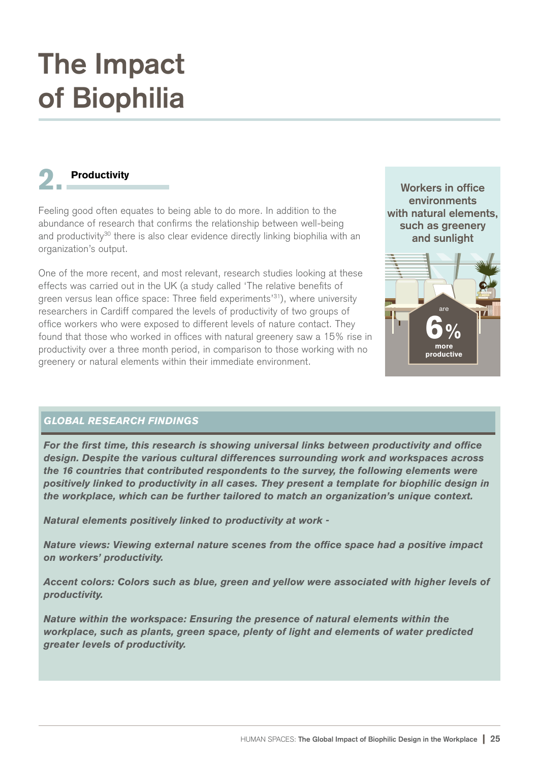#### **Productivity**

Feeling good often equates to being able to do more. In addition to the abundance of research that confirms the relationship between well-being and productivity<sup>30</sup> there is also clear evidence directly linking biophilia with an organization's output.

One of the more recent, and most relevant, research studies looking at these effects was carried out in the UK (a study called 'The relative benefits of green versus lean office space: Three field experiments<sup>'31</sup>), where university researchers in Cardiff compared the levels of productivity of two groups of office workers who were exposed to different levels of nature contact. They found that those who worked in offices with natural greenery saw a 15% rise in productivity over a three month period, in comparison to those working with no greenery or natural elements within their immediate environment.



more productive

6%

#### *GLOBAL RESEARCH FINDINGS*

*For the first time, this research is showing universal links between productivity and office design. Despite the various cultural differences surrounding work and workspaces across the 16 countries that contributed respondents to the survey, the following elements were positively linked to productivity in all cases. They present a template for biophilic design in the workplace, which can be further tailored to match an organization's unique context.*

*Natural elements positively linked to productivity at work -*

*Nature views: Viewing external nature scenes from the office space had a positive impact on workers' productivity.*

*Accent colors: Colors such as blue, green and yellow were associated with higher levels of productivity.*

*Nature within the workspace: Ensuring the presence of natural elements within the workplace, such as plants, green space, plenty of light and elements of water predicted greater levels of productivity.*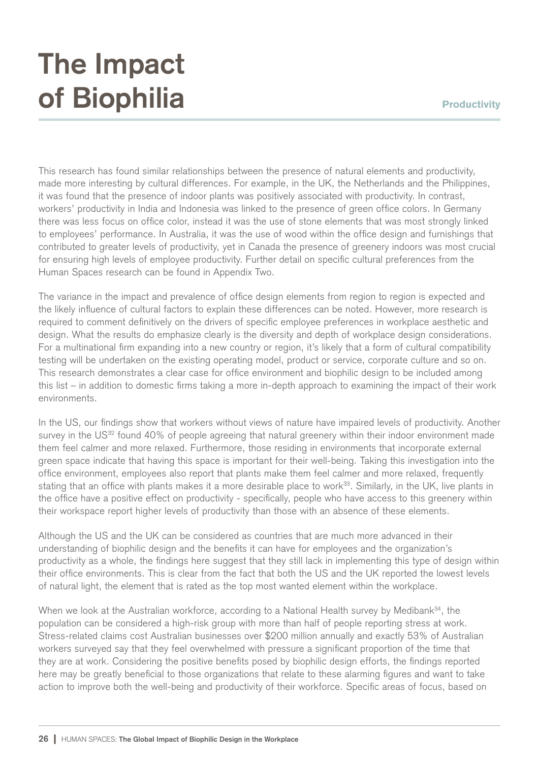#### **Productivity**

### **The Impact of Biophilia**

This research has found similar relationships between the presence of natural elements and productivity, made more interesting by cultural differences. For example, in the UK, the Netherlands and the Philippines, it was found that the presence of indoor plants was positively associated with productivity. In contrast, workers' productivity in India and Indonesia was linked to the presence of green office colors. In Germany there was less focus on office color, instead it was the use of stone elements that was most strongly linked to employees' performance. In Australia, it was the use of wood within the office design and furnishings that contributed to greater levels of productivity, yet in Canada the presence of greenery indoors was most crucial for ensuring high levels of employee productivity. Further detail on specific cultural preferences from the Human Spaces research can be found in Appendix Two.

The variance in the impact and prevalence of office design elements from region to region is expected and the likely influence of cultural factors to explain these differences can be noted. However, more research is required to comment definitively on the drivers of specific employee preferences in workplace aesthetic and design. What the results do emphasize clearly is the diversity and depth of workplace design considerations. For a multinational firm expanding into a new country or region, it's likely that a form of cultural compatibility testing will be undertaken on the existing operating model, product or service, corporate culture and so on. This research demonstrates a clear case for office environment and biophilic design to be included among this list – in addition to domestic firms taking a more in-depth approach to examining the impact of their work environments.

In the US, our findings show that workers without views of nature have impaired levels of productivity. Another survey in the US<sup>32</sup> found 40% of people agreeing that natural greenery within their indoor environment made them feel calmer and more relaxed. Furthermore, those residing in environments that incorporate external green space indicate that having this space is important for their well-being. Taking this investigation into the office environment, employees also report that plants make them feel calmer and more relaxed, frequently stating that an office with plants makes it a more desirable place to work<sup>33</sup>. Similarly, in the UK, live plants in the office have a positive effect on productivity - specifically, people who have access to this greenery within their workspace report higher levels of productivity than those with an absence of these elements.

Although the US and the UK can be considered as countries that are much more advanced in their understanding of biophilic design and the benefits it can have for employees and the organization's productivity as a whole, the findings here suggest that they still lack in implementing this type of design within their office environments. This is clear from the fact that both the US and the UK reported the lowest levels of natural light, the element that is rated as the top most wanted element within the workplace.

When we look at the Australian workforce, according to a National Health survey by Medibank<sup>34</sup>, the population can be considered a high-risk group with more than half of people reporting stress at work. Stress-related claims cost Australian businesses over \$200 million annually and exactly 53% of Australian workers surveyed say that they feel overwhelmed with pressure a significant proportion of the time that they are at work. Considering the positive benefits posed by biophilic design efforts, the findings reported here may be greatly beneficial to those organizations that relate to these alarming figures and want to take action to improve both the well-being and productivity of their workforce. Specific areas of focus, based on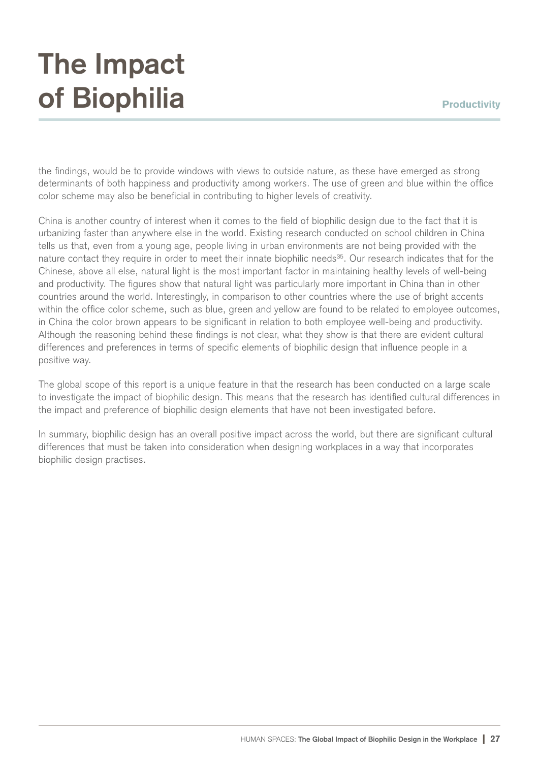#### **Productivity**

### **The Impact of Biophilia**

the findings, would be to provide windows with views to outside nature, as these have emerged as strong determinants of both happiness and productivity among workers. The use of green and blue within the office color scheme may also be beneficial in contributing to higher levels of creativity.

China is another country of interest when it comes to the field of biophilic design due to the fact that it is urbanizing faster than anywhere else in the world. Existing research conducted on school children in China tells us that, even from a young age, people living in urban environments are not being provided with the nature contact they require in order to meet their innate biophilic needs<sup>35</sup>. Our research indicates that for the Chinese, above all else, natural light is the most important factor in maintaining healthy levels of well-being and productivity. The figures show that natural light was particularly more important in China than in other countries around the world. Interestingly, in comparison to other countries where the use of bright accents within the office color scheme, such as blue, green and yellow are found to be related to employee outcomes, in China the color brown appears to be significant in relation to both employee well-being and productivity. Although the reasoning behind these findings is not clear, what they show is that there are evident cultural differences and preferences in terms of specific elements of biophilic design that influence people in a positive way.

The global scope of this report is a unique feature in that the research has been conducted on a large scale to investigate the impact of biophilic design. This means that the research has identified cultural differences in the impact and preference of biophilic design elements that have not been investigated before.

In summary, biophilic design has an overall positive impact across the world, but there are significant cultural differences that must be taken into consideration when designing workplaces in a way that incorporates biophilic design practises.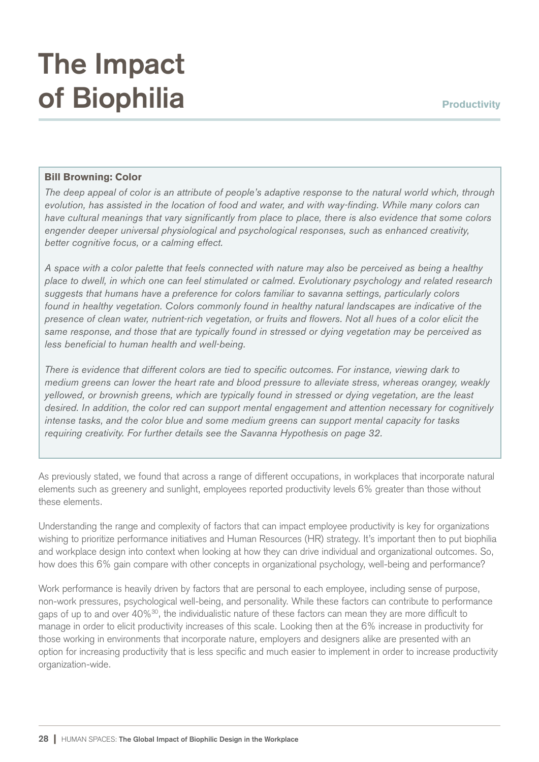#### Bill Browning: Color

*The deep appeal of color is an attribute of people's adaptive response to the natural world which, through evolution, has assisted in the location of food and water, and with way-finding. While many colors can have cultural meanings that vary significantly from place to place, there is also evidence that some colors engender deeper universal physiological and psychological responses, such as enhanced creativity, better cognitive focus, or a calming effect.*

*A space with a color palette that feels connected with nature may also be perceived as being a healthy place to dwell, in which one can feel stimulated or calmed. Evolutionary psychology and related research suggests that humans have a preference for colors familiar to savanna settings, particularly colors found in healthy vegetation. Colors commonly found in healthy natural landscapes are indicative of the presence of clean water, nutrient-rich vegetation, or fruits and flowers. Not all hues of a color elicit the same response, and those that are typically found in stressed or dying vegetation may be perceived as less beneficial to human health and well-being.*

*There is evidence that different colors are tied to specific outcomes. For instance, viewing dark to medium greens can lower the heart rate and blood pressure to alleviate stress, whereas orangey, weakly yellowed, or brownish greens, which are typically found in stressed or dying vegetation, are the least desired. In addition, the color red can support mental engagement and attention necessary for cognitively intense tasks, and the color blue and some medium greens can support mental capacity for tasks requiring creativity. For further details see the Savanna Hypothesis on page 32.*

As previously stated, we found that across a range of different occupations, in workplaces that incorporate natural elements such as greenery and sunlight, employees reported productivity levels 6% greater than those without these elements.

Understanding the range and complexity of factors that can impact employee productivity is key for organizations wishing to prioritize performance initiatives and Human Resources (HR) strategy. It's important then to put biophilia and workplace design into context when looking at how they can drive individual and organizational outcomes. So, how does this 6% gain compare with other concepts in organizational psychology, well-being and performance?

Work performance is heavily driven by factors that are personal to each employee, including sense of purpose, non-work pressures, psychological well-being, and personality. While these factors can contribute to performance gaps of up to and over 40%<sup>30</sup>, the individualistic nature of these factors can mean they are more difficult to manage in order to elicit productivity increases of this scale. Looking then at the 6% increase in productivity for those working in environments that incorporate nature, employers and designers alike are presented with an option for increasing productivity that is less specific and much easier to implement in order to increase productivity organization-wide.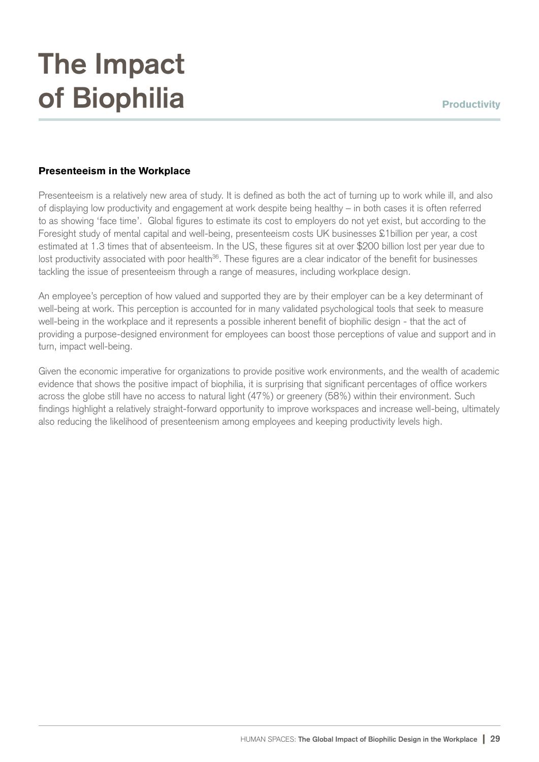#### Presenteeism in the Workplace

Presenteeism is a relatively new area of study. It is defined as both the act of turning up to work while ill, and also of displaying low productivity and engagement at work despite being healthy – in both cases it is often referred to as showing 'face time'. Global figures to estimate its cost to employers do not yet exist, but according to the Foresight study of mental capital and well-being, presenteeism costs UK businesses £1billion per year, a cost estimated at 1.3 times that of absenteeism. In the US, these figures sit at over \$200 billion lost per year due to lost productivity associated with poor health<sup>36</sup>. These figures are a clear indicator of the benefit for businesses tackling the issue of presenteeism through a range of measures, including workplace design.

An employee's perception of how valued and supported they are by their employer can be a key determinant of well-being at work. This perception is accounted for in many validated psychological tools that seek to measure well-being in the workplace and it represents a possible inherent benefit of biophilic design - that the act of providing a purpose-designed environment for employees can boost those perceptions of value and support and in turn, impact well-being.

Given the economic imperative for organizations to provide positive work environments, and the wealth of academic evidence that shows the positive impact of biophilia, it is surprising that significant percentages of office workers across the globe still have no access to natural light (47%) or greenery (58%) within their environment. Such findings highlight a relatively straight-forward opportunity to improve workspaces and increase well-being, ultimately also reducing the likelihood of presenteenism among employees and keeping productivity levels high.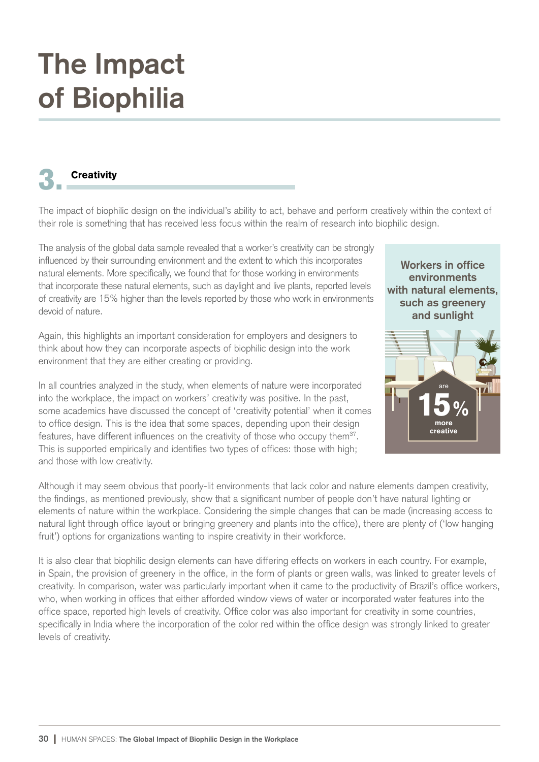#### **Creativity**

The impact of biophilic design on the individual's ability to act, behave and perform creatively within the context of their role is something that has received less focus within the realm of research into biophilic design.

The analysis of the global data sample revealed that a worker's creativity can be strongly influenced by their surrounding environment and the extent to which this incorporates natural elements. More specifically, we found that for those working in environments that incorporate these natural elements, such as daylight and live plants, reported levels of creativity are 15% higher than the levels reported by those who work in environments devoid of nature.

Again, this highlights an important consideration for employers and designers to think about how they can incorporate aspects of biophilic design into the work environment that they are either creating or providing.

In all countries analyzed in the study, when elements of nature were incorporated into the workplace, the impact on workers' creativity was positive. In the past, some academics have discussed the concept of 'creativity potential' when it comes to office design. This is the idea that some spaces, depending upon their design features, have different influences on the creativity of those who occupy them<sup>37</sup>. This is supported empirically and identifies two types of offices: those with high; and those with low creativity.



Although it may seem obvious that poorly-lit environments that lack color and nature elements dampen creativity, the findings, as mentioned previously, show that a significant number of people don't have natural lighting or elements of nature within the workplace. Considering the simple changes that can be made (increasing access to natural light through office layout or bringing greenery and plants into the office), there are plenty of ('low hanging fruit') options for organizations wanting to inspire creativity in their workforce.

It is also clear that biophilic design elements can have differing effects on workers in each country. For example, in Spain, the provision of greenery in the office, in the form of plants or green walls, was linked to greater levels of creativity. In comparison, water was particularly important when it came to the productivity of Brazil's office workers, who, when working in offices that either afforded window views of water or incorporated water features into the office space, reported high levels of creativity. Office color was also important for creativity in some countries, specifically in India where the incorporation of the color red within the office design was strongly linked to greater levels of creativity.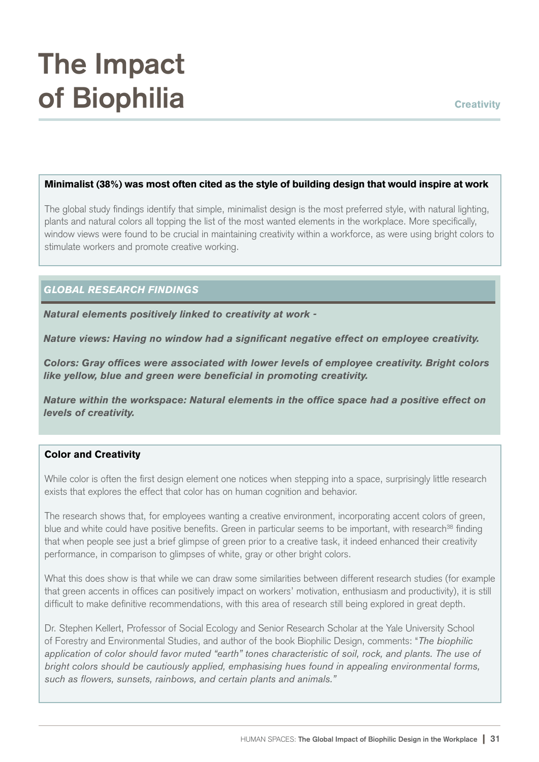#### Minimalist (38%) was most often cited as the style of building design that would inspire at work

The global study findings identify that simple, minimalist design is the most preferred style, with natural lighting, plants and natural colors all topping the list of the most wanted elements in the workplace. More specifically, window views were found to be crucial in maintaining creativity within a workforce, as were using bright colors to stimulate workers and promote creative working.

#### *GLOBAL RESEARCH FINDINGS*

*Natural elements positively linked to creativity at work -*

*Nature views: Having no window had a significant negative effect on employee creativity.*

*Colors: Gray offices were associated with lower levels of employee creativity. Bright colors like yellow, blue and green were beneficial in promoting creativity.*

*Nature within the workspace: Natural elements in the office space had a positive effect on levels of creativity.*

#### Color and Creativity

While color is often the first design element one notices when stepping into a space, surprisingly little research exists that explores the effect that color has on human cognition and behavior.

The research shows that, for employees wanting a creative environment, incorporating accent colors of green, blue and white could have positive benefits. Green in particular seems to be important, with research<sup>38</sup> finding that when people see just a brief glimpse of green prior to a creative task, it indeed enhanced their creativity performance, in comparison to glimpses of white, gray or other bright colors.

What this does show is that while we can draw some similarities between different research studies (for example that green accents in offices can positively impact on workers' motivation, enthusiasm and productivity), it is still difficult to make definitive recommendations, with this area of research still being explored in great depth.

Dr. Stephen Kellert, Professor of Social Ecology and Senior Research Scholar at the Yale University School of Forestry and Environmental Studies, and author of the book Biophilic Design, comments: "*The biophilic application of color should favor muted "earth" tones characteristic of soil, rock, and plants. The use of bright colors should be cautiously applied, emphasising hues found in appealing environmental forms, such as flowers, sunsets, rainbows, and certain plants and animals."*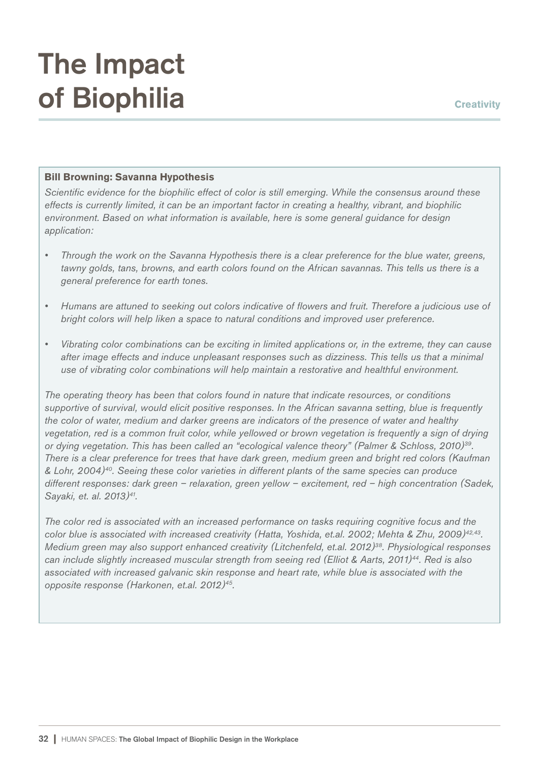#### Bill Browning: Savanna Hypothesis

*Scientific evidence for the biophilic effect of color is still emerging. While the consensus around these effects is currently limited, it can be an important factor in creating a healthy, vibrant, and biophilic environment. Based on what information is available, here is some general guidance for design application:*

- *Through the work on the Savanna Hypothesis there is a clear preference for the blue water, greens, tawny golds, tans, browns, and earth colors found on the African savannas. This tells us there is a general preference for earth tones.*
- *Humans are attuned to seeking out colors indicative of flowers and fruit. Therefore a judicious use of bright colors will help liken a space to natural conditions and improved user preference.*
- *Vibrating color combinations can be exciting in limited applications or, in the extreme, they can cause after image effects and induce unpleasant responses such as dizziness. This tells us that a minimal use of vibrating color combinations will help maintain a restorative and healthful environment.*

*The operating theory has been that colors found in nature that indicate resources, or conditions supportive of survival, would elicit positive responses. In the African savanna setting, blue is frequently the color of water, medium and darker greens are indicators of the presence of water and healthy vegetation, red is a common fruit color, while yellowed or brown vegetation is frequently a sign of drying or dying vegetation. This has been called an "ecological valence theory" (Palmer & Schloss, 2010)<sup>39</sup> . There is a clear preference for trees that have dark green, medium green and bright red colors (Kaufman & Lohr, 2004)<sup>40</sup>. Seeing these color varieties in different plants of the same species can produce different responses: dark green – relaxation, green yellow – excitement, red – high concentration (Sadek, Sayaki, et. al. 2013)<sup>41</sup> .*

*The color red is associated with an increased performance on tasks requiring cognitive focus and the color blue is associated with increased creativity (Hatta, Yoshida, et.al. 2002; Mehta & Zhu, 2009)42,43 . Medium green may also support enhanced creativity (Litchenfeld, et.al. 2012)<sup>38</sup>. Physiological responses can include slightly increased muscular strength from seeing red (Elliot & Aarts, 2011)<sup>44</sup>. Red is also associated with increased galvanic skin response and heart rate, while blue is associated with the opposite response (Harkonen, et.al. 2012)<sup>45</sup> .*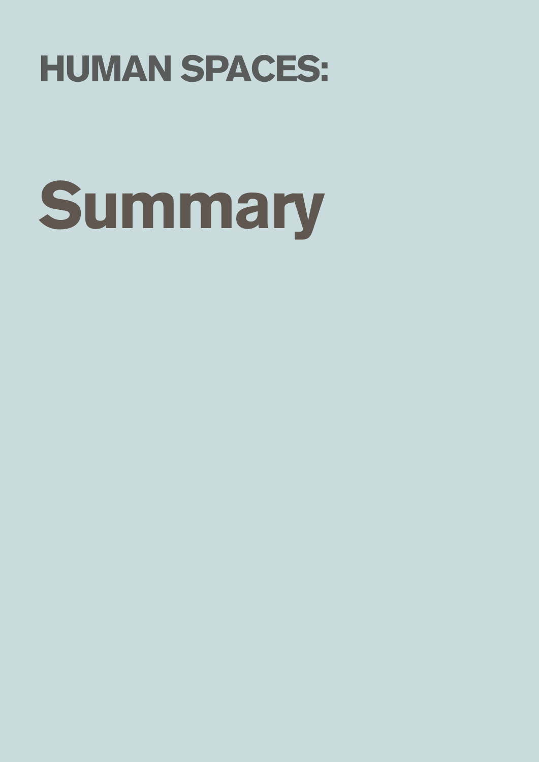## HUMAN SPACES:

# **Summary**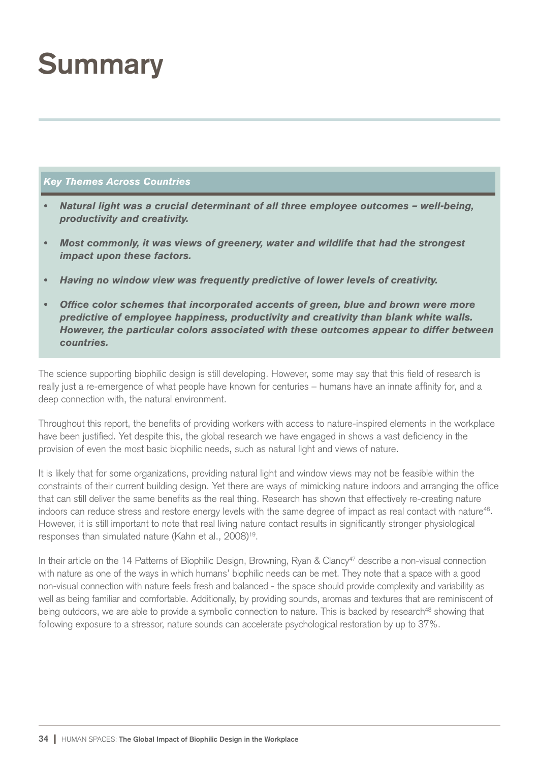### **Summary**

#### *Key Themes Across Countries*

- *Natural light was a crucial determinant of all three employee outcomes well-being, productivity and creativity.*
- *Most commonly, it was views of greenery, water and wildlife that had the strongest impact upon these factors.*
- *Having no window view was frequently predictive of lower levels of creativity.*
- *Office color schemes that incorporated accents of green, blue and brown were more predictive of employee happiness, productivity and creativity than blank white walls. However, the particular colors associated with these outcomes appear to differ between countries.*

The science supporting biophilic design is still developing. However, some may say that this field of research is really just a re-emergence of what people have known for centuries – humans have an innate affinity for, and a deep connection with, the natural environment.

Throughout this report, the benefits of providing workers with access to nature-inspired elements in the workplace have been justified. Yet despite this, the global research we have engaged in shows a vast deficiency in the provision of even the most basic biophilic needs, such as natural light and views of nature.

It is likely that for some organizations, providing natural light and window views may not be feasible within the constraints of their current building design. Yet there are ways of mimicking nature indoors and arranging the office that can still deliver the same benefits as the real thing. Research has shown that effectively re-creating nature indoors can reduce stress and restore energy levels with the same degree of impact as real contact with nature<sup>46</sup>. However, it is still important to note that real living nature contact results in significantly stronger physiological responses than simulated nature (Kahn et al., 2008)<sup>19</sup>.

In their article on the 14 Patterns of Biophilic Design, Browning, Ryan & Clancy<sup>47</sup> describe a non-visual connection with nature as one of the ways in which humans' biophilic needs can be met. They note that a space with a good non-visual connection with nature feels fresh and balanced - the space should provide complexity and variability as well as being familiar and comfortable. Additionally, by providing sounds, aromas and textures that are reminiscent of being outdoors, we are able to provide a symbolic connection to nature. This is backed by research<sup>48</sup> showing that following exposure to a stressor, nature sounds can accelerate psychological restoration by up to 37%.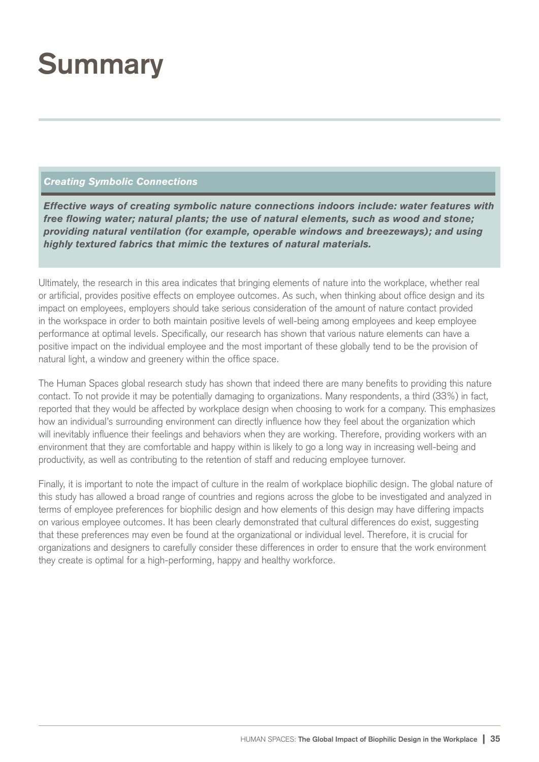### **Summary**

#### *Creating Symbolic Connections*

*Effective ways of creating symbolic nature connections indoors include: water features with free flowing water; natural plants; the use of natural elements, such as wood and stone; providing natural ventilation (for example, operable windows and breezeways); and using highly textured fabrics that mimic the textures of natural materials.* 

Ultimately, the research in this area indicates that bringing elements of nature into the workplace, whether real or artificial, provides positive effects on employee outcomes. As such, when thinking about office design and its impact on employees, employers should take serious consideration of the amount of nature contact provided in the workspace in order to both maintain positive levels of well-being among employees and keep employee performance at optimal levels. Specifically, our research has shown that various nature elements can have a positive impact on the individual employee and the most important of these globally tend to be the provision of natural light, a window and greenery within the office space.

The Human Spaces global research study has shown that indeed there are many benefits to providing this nature contact. To not provide it may be potentially damaging to organizations. Many respondents, a third (33%) in fact, reported that they would be affected by workplace design when choosing to work for a company. This emphasizes how an individual's surrounding environment can directly influence how they feel about the organization which will inevitably influence their feelings and behaviors when they are working. Therefore, providing workers with an environment that they are comfortable and happy within is likely to go a long way in increasing well-being and productivity, as well as contributing to the retention of staff and reducing employee turnover.

Finally, it is important to note the impact of culture in the realm of workplace biophilic design. The global nature of this study has allowed a broad range of countries and regions across the globe to be investigated and analyzed in terms of employee preferences for biophilic design and how elements of this design may have differing impacts on various employee outcomes. It has been clearly demonstrated that cultural differences do exist, suggesting that these preferences may even be found at the organizational or individual level. Therefore, it is crucial for organizations and designers to carefully consider these differences in order to ensure that the work environment they create is optimal for a high-performing, happy and healthy workforce.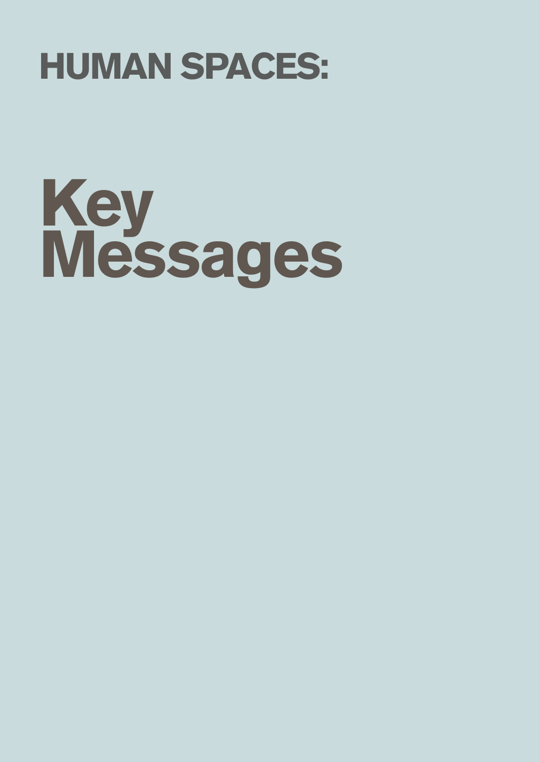### HUMAN SPACES:

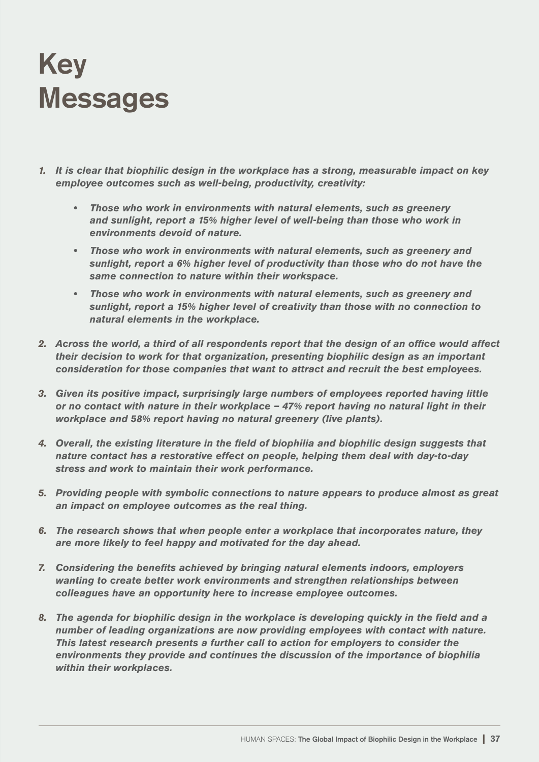#### **Key Messages**

- *1. It is clear that biophilic design in the workplace has a strong, measurable impact on key employee outcomes such as well-being, productivity, creativity:*
	- *Those who work in environments with natural elements, such as greenery and sunlight, report a 15% higher level of well-being than those who work in environments devoid of nature.*
	- *Those who work in environments with natural elements, such as greenery and sunlight, report a 6% higher level of productivity than those who do not have the same connection to nature within their workspace.*
	- *Those who work in environments with natural elements, such as greenery and sunlight, report a 15% higher level of creativity than those with no connection to natural elements in the workplace.*
- *2. Across the world, a third of all respondents report that the design of an office would affect their decision to work for that organization, presenting biophilic design as an important consideration for those companies that want to attract and recruit the best employees.*
- *3. Given its positive impact, surprisingly large numbers of employees reported having little or no contact with nature in their workplace – 47% report having no natural light in their workplace and 58% report having no natural greenery (live plants).*
- *4. Overall, the existing literature in the field of biophilia and biophilic design suggests that nature contact has a restorative effect on people, helping them deal with day-to-day stress and work to maintain their work performance.*
- *5. Providing people with symbolic connections to nature appears to produce almost as great an impact on employee outcomes as the real thing.*
- *6. The research shows that when people enter a workplace that incorporates nature, they are more likely to feel happy and motivated for the day ahead.*
- *7. Considering the benefits achieved by bringing natural elements indoors, employers wanting to create better work environments and strengthen relationships between colleagues have an opportunity here to increase employee outcomes.*
- *8. The agenda for biophilic design in the workplace is developing quickly in the field and a number of leading organizations are now providing employees with contact with nature. This latest research presents a further call to action for employers to consider the environments they provide and continues the discussion of the importance of biophilia within their workplaces.*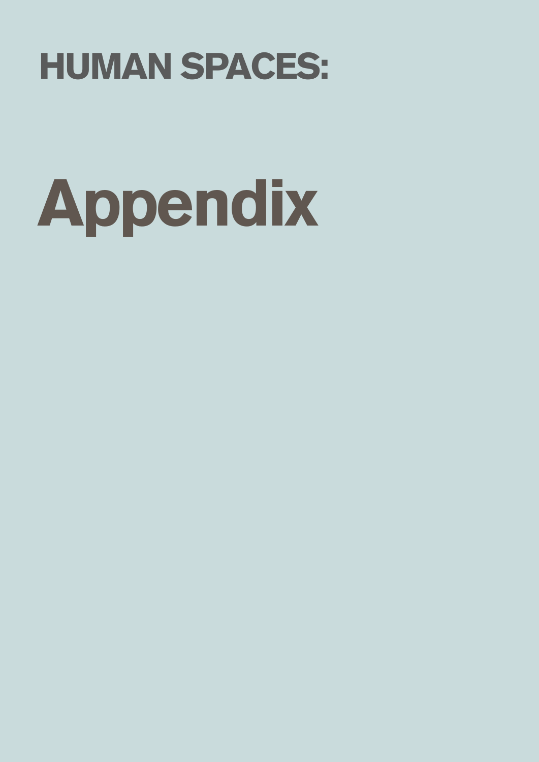

# Appendix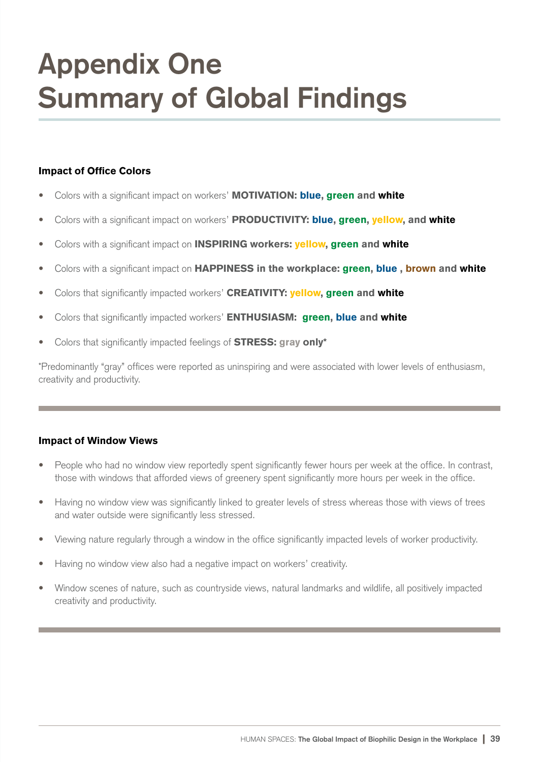### **Appendix One Summary of Global Findings**

#### Impact of Office Colors

- Colors with a significant impact on workers' MOTIVATION: blue, green and white
- Colors with a significant impact on workers' PRODUCTIVITY: blue, green, yellow, and white
- Colors with a significant impact on **INSPIRING workers: yellow, green and white**
- Colors with a significant impact on HAPPINESS in the workplace: green, blue, brown and white
- Colors that significantly impacted workers' CREATIVITY: yellow, green and white
- Colors that significantly impacted workers' **ENTHUSIASM: green, blue and white**
- Colors that significantly impacted feelings of **STRESS: gray only\***

\*Predominantly "gray" offices were reported as uninspiring and were associated with lower levels of enthusiasm, creativity and productivity.

#### Impact of Window Views

- People who had no window view reportedly spent significantly fewer hours per week at the office. In contrast, those with windows that afforded views of greenery spent significantly more hours per week in the office.
- Having no window view was significantly linked to greater levels of stress whereas those with views of trees and water outside were significantly less stressed.
- Viewing nature regularly through a window in the office significantly impacted levels of worker productivity.
- Having no window view also had a negative impact on workers' creativity.
- Window scenes of nature, such as countryside views, natural landmarks and wildlife, all positively impacted creativity and productivity.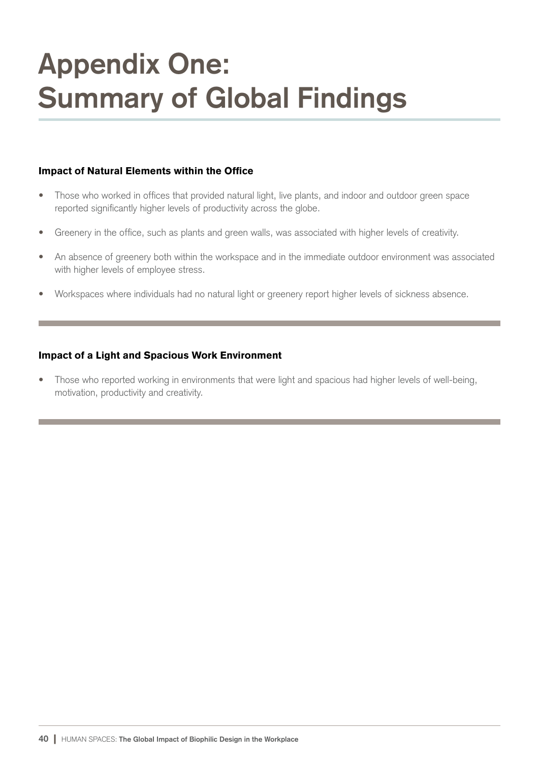### **Appendix One: Summary of Global Findings**

#### Impact of Natural Elements within the Office

- Those who worked in offices that provided natural light, live plants, and indoor and outdoor green space reported significantly higher levels of productivity across the globe.
- Greenery in the office, such as plants and green walls, was associated with higher levels of creativity.
- An absence of greenery both within the workspace and in the immediate outdoor environment was associated with higher levels of employee stress.
- Workspaces where individuals had no natural light or greenery report higher levels of sickness absence.

#### Impact of a Light and Spacious Work Environment

• Those who reported working in environments that were light and spacious had higher levels of well-being, motivation, productivity and creativity.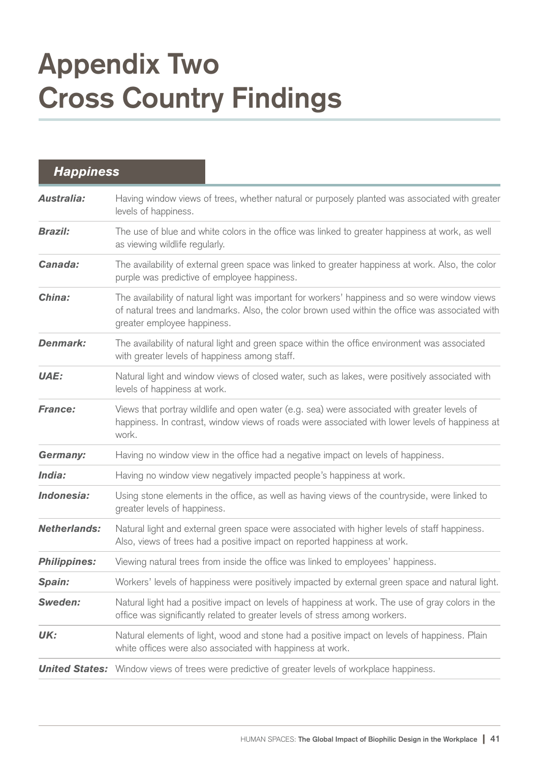### **Appendix Two Cross Country Findings**

| <b>Happiness</b>    |                                                                                                                                                                                                                                    |  |
|---------------------|------------------------------------------------------------------------------------------------------------------------------------------------------------------------------------------------------------------------------------|--|
| <b>Australia:</b>   | Having window views of trees, whether natural or purposely planted was associated with greater<br>levels of happiness.                                                                                                             |  |
| <b>Brazil:</b>      | The use of blue and white colors in the office was linked to greater happiness at work, as well<br>as viewing wildlife regularly.                                                                                                  |  |
| Canada:             | The availability of external green space was linked to greater happiness at work. Also, the color<br>purple was predictive of employee happiness.                                                                                  |  |
| China:              | The availability of natural light was important for workers' happiness and so were window views<br>of natural trees and landmarks. Also, the color brown used within the office was associated with<br>greater employee happiness. |  |
| <b>Denmark:</b>     | The availability of natural light and green space within the office environment was associated<br>with greater levels of happiness among staff.                                                                                    |  |
| <b>UAE:</b>         | Natural light and window views of closed water, such as lakes, were positively associated with<br>levels of happiness at work.                                                                                                     |  |
| <b>France:</b>      | Views that portray wildlife and open water (e.g. sea) were associated with greater levels of<br>happiness. In contrast, window views of roads were associated with lower levels of happiness at<br>work.                           |  |
| <b>Germany:</b>     | Having no window view in the office had a negative impact on levels of happiness.                                                                                                                                                  |  |
| India:              | Having no window view negatively impacted people's happiness at work.                                                                                                                                                              |  |
| Indonesia:          | Using stone elements in the office, as well as having views of the countryside, were linked to<br>greater levels of happiness.                                                                                                     |  |
| <b>Netherlands:</b> | Natural light and external green space were associated with higher levels of staff happiness.<br>Also, views of trees had a positive impact on reported happiness at work.                                                         |  |
| <b>Philippines:</b> | Viewing natural trees from inside the office was linked to employees' happiness.                                                                                                                                                   |  |
| Spain:              | Workers' levels of happiness were positively impacted by external green space and natural light.                                                                                                                                   |  |
| Sweden:             | Natural light had a positive impact on levels of happiness at work. The use of gray colors in the<br>office was significantly related to greater levels of stress among workers.                                                   |  |
| UK:                 | Natural elements of light, wood and stone had a positive impact on levels of happiness. Plain<br>white offices were also associated with happiness at work.                                                                        |  |
|                     | <b>United States:</b> Window views of trees were predictive of greater levels of workplace happiness.                                                                                                                              |  |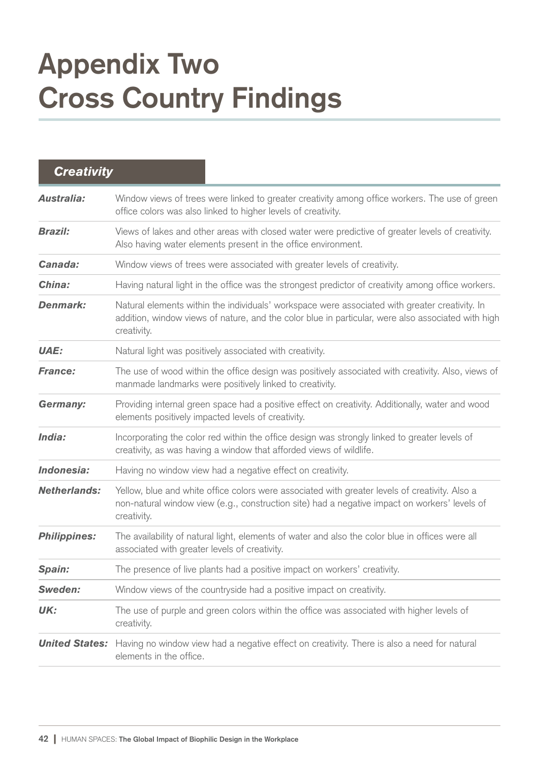### **Appendix Two Cross Country Findings**

| <b>Creativity</b>     |                                                                                                                                                                                                                     |
|-----------------------|---------------------------------------------------------------------------------------------------------------------------------------------------------------------------------------------------------------------|
| <b>Australia:</b>     | Window views of trees were linked to greater creativity among office workers. The use of green<br>office colors was also linked to higher levels of creativity.                                                     |
| <b>Brazil:</b>        | Views of lakes and other areas with closed water were predictive of greater levels of creativity.<br>Also having water elements present in the office environment.                                                  |
| Canada:               | Window views of trees were associated with greater levels of creativity.                                                                                                                                            |
| China:                | Having natural light in the office was the strongest predictor of creativity among office workers.                                                                                                                  |
| <b>Denmark:</b>       | Natural elements within the individuals' workspace were associated with greater creativity. In<br>addition, window views of nature, and the color blue in particular, were also associated with high<br>creativity. |
| <b>UAE:</b>           | Natural light was positively associated with creativity.                                                                                                                                                            |
| <b>France:</b>        | The use of wood within the office design was positively associated with creativity. Also, views of<br>manmade landmarks were positively linked to creativity.                                                       |
| <b>Germany:</b>       | Providing internal green space had a positive effect on creativity. Additionally, water and wood<br>elements positively impacted levels of creativity.                                                              |
| India:                | Incorporating the color red within the office design was strongly linked to greater levels of<br>creativity, as was having a window that afforded views of wildlife.                                                |
| Indonesia:            | Having no window view had a negative effect on creativity.                                                                                                                                                          |
| <b>Netherlands:</b>   | Yellow, blue and white office colors were associated with greater levels of creativity. Also a<br>non-natural window view (e.g., construction site) had a negative impact on workers' levels of<br>creativity.      |
| <b>Philippines:</b>   | The availability of natural light, elements of water and also the color blue in offices were all<br>associated with greater levels of creativity.                                                                   |
| Spain:                | The presence of live plants had a positive impact on workers' creativity.                                                                                                                                           |
| Sweden:               | Window views of the countryside had a positive impact on creativity.                                                                                                                                                |
| UK:                   | The use of purple and green colors within the office was associated with higher levels of<br>creativity.                                                                                                            |
| <b>United States:</b> | Having no window view had a negative effect on creativity. There is also a need for natural<br>elements in the office.                                                                                              |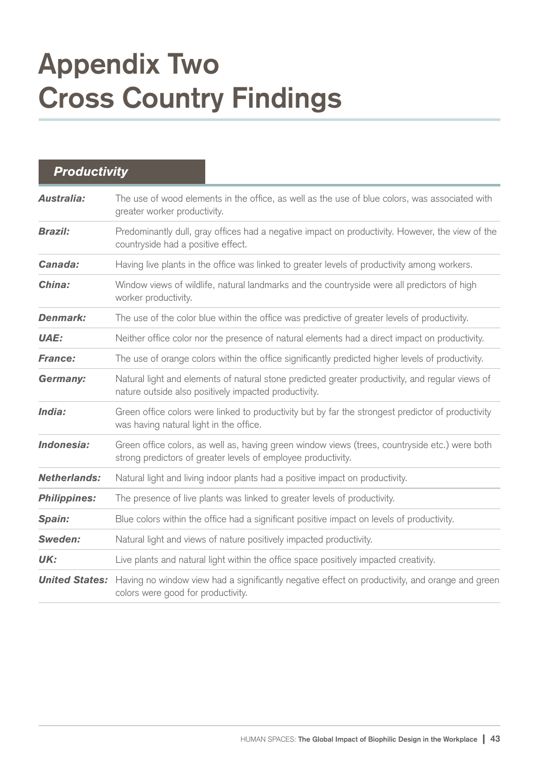### **Appendix Two Cross Country Findings**

| <b>Productivity</b>   |                                                                                                                                                                 |  |
|-----------------------|-----------------------------------------------------------------------------------------------------------------------------------------------------------------|--|
| <b>Australia:</b>     | The use of wood elements in the office, as well as the use of blue colors, was associated with<br>greater worker productivity.                                  |  |
| <b>Brazil:</b>        | Predominantly dull, gray offices had a negative impact on productivity. However, the view of the<br>countryside had a positive effect.                          |  |
| Canada:               | Having live plants in the office was linked to greater levels of productivity among workers.                                                                    |  |
| China:                | Window views of wildlife, natural landmarks and the countryside were all predictors of high<br>worker productivity.                                             |  |
| <b>Denmark:</b>       | The use of the color blue within the office was predictive of greater levels of productivity.                                                                   |  |
| <b>UAE:</b>           | Neither office color nor the presence of natural elements had a direct impact on productivity.                                                                  |  |
| <b>France:</b>        | The use of orange colors within the office significantly predicted higher levels of productivity.                                                               |  |
| <b>Germany:</b>       | Natural light and elements of natural stone predicted greater productivity, and regular views of<br>nature outside also positively impacted productivity.       |  |
| India:                | Green office colors were linked to productivity but by far the strongest predictor of productivity<br>was having natural light in the office.                   |  |
| Indonesia:            | Green office colors, as well as, having green window views (trees, countryside etc.) were both<br>strong predictors of greater levels of employee productivity. |  |
| <b>Netherlands:</b>   | Natural light and living indoor plants had a positive impact on productivity.                                                                                   |  |
| <b>Philippines:</b>   | The presence of live plants was linked to greater levels of productivity.                                                                                       |  |
| Spain:                | Blue colors within the office had a significant positive impact on levels of productivity.                                                                      |  |
| <b>Sweden:</b>        | Natural light and views of nature positively impacted productivity.                                                                                             |  |
| UK:                   | Live plants and natural light within the office space positively impacted creativity.                                                                           |  |
| <b>United States:</b> | Having no window view had a significantly negative effect on productivity, and orange and green<br>colors were good for productivity.                           |  |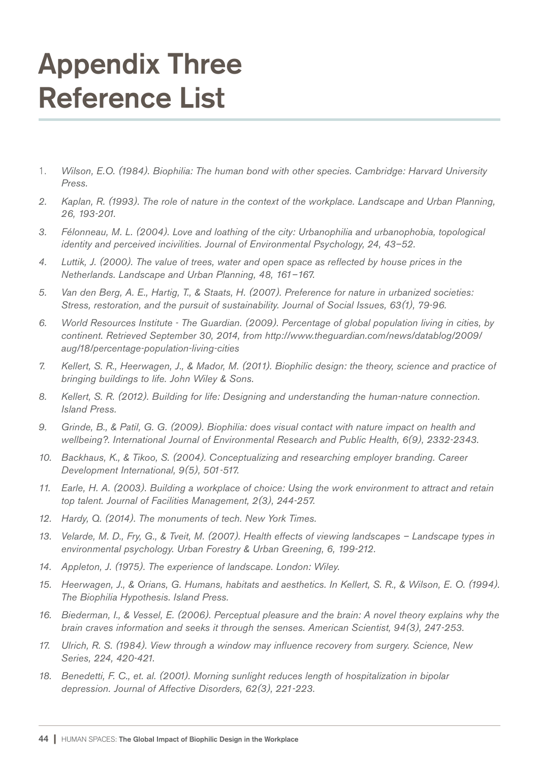#### **Appendix Three Reference List**

- 1. *Wilson, E.O. (1984). Biophilia: The human bond with other species. Cambridge: Harvard University Press.*
- *2. Kaplan, R. (1993). The role of nature in the context of the workplace. Landscape and Urban Planning, 26, 193-201.*
- *3. Félonneau, M. L. (2004). Love and loathing of the city: Urbanophilia and urbanophobia, topological identity and perceived incivilities. Journal of Environmental Psychology, 24, 43–52.*
- *4. Luttik, J. (2000). The value of trees, water and open space as reflected by house prices in the Netherlands. Landscape and Urban Planning, 48, 161–167.*
- *5. Van den Berg, A. E., Hartig, T., & Staats, H. (2007). Preference for nature in urbanized societies: Stress, restoration, and the pursuit of sustainability. Journal of Social Issues, 63(1), 79-96.*
- *6. World Resources Institute The Guardian. (2009). Percentage of global population living in cities, by continent. Retrieved September 30, 2014, from http://www.theguardian.com/news/datablog/2009/ aug/18/percentage-population-living-cities*
- *7. Kellert, S. R., Heerwagen, J., & Mador, M. (2011). Biophilic design: the theory, science and practice of bringing buildings to life. John Wiley & Sons.*
- *8. Kellert, S. R. (2012). Building for life: Designing and understanding the human-nature connection. Island Press.*
- *9. Grinde, B., & Patil, G. G. (2009). Biophilia: does visual contact with nature impact on health and wellbeing?. International Journal of Environmental Research and Public Health, 6(9), 2332-2343.*
- *10. Backhaus, K., & Tikoo, S. (2004). Conceptualizing and researching employer branding. Career Development International, 9(5), 501-517.*
- *11. Earle, H. A. (2003). Building a workplace of choice: Using the work environment to attract and retain top talent. Journal of Facilities Management, 2(3), 244-257.*
- *12. Hardy, Q. (2014). The monuments of tech. New York Times.*
- *13. Velarde, M. D., Fry, G., & Tveit, M. (2007). Health effects of viewing landscapes Landscape types in environmental psychology. Urban Forestry & Urban Greening, 6, 199-212.*
- *14. Appleton, J. (1975). The experience of landscape. London: Wiley.*
- *15. Heerwagen, J., & Orians, G. Humans, habitats and aesthetics. In Kellert, S. R., & Wilson, E. O. (1994). The Biophilia Hypothesis. Island Press.*
- *16. Biederman, I., & Vessel, E. (2006). Perceptual pleasure and the brain: A novel theory explains why the brain craves information and seeks it through the senses. American Scientist, 94(3), 247-253.*
- *17. Ulrich, R. S. (1984). View through a window may influence recovery from surgery. Science, New Series, 224, 420-421.*
- *18. Benedetti, F. C., et. al. (2001). Morning sunlight reduces length of hospitalization in bipolar depression. Journal of Affective Disorders, 62(3), 221-223.*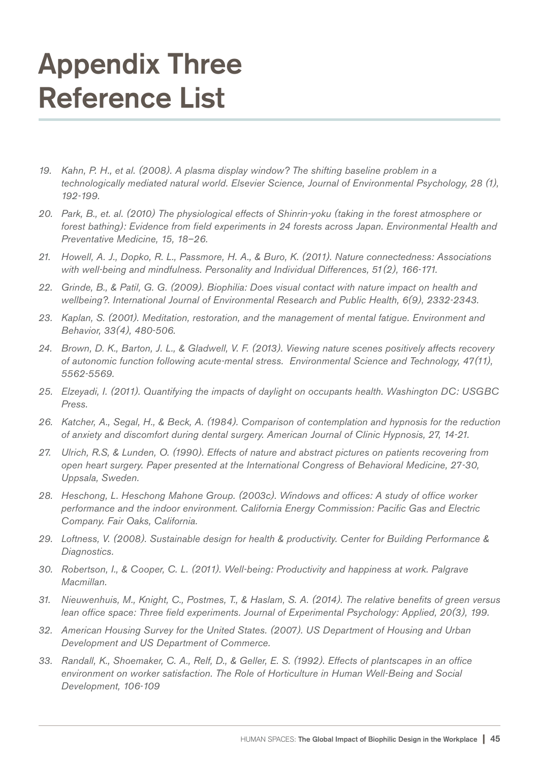#### **Appendix Three Reference List**

- *19. Kahn, P. H., et al. (2008). A plasma display window? The shifting baseline problem in a technologically mediated natural world. Elsevier Science, Journal of Environmental Psychology, 28 (1), 192-199.*
- *20. Park, B., et. al. (2010) The physiological effects of Shinrin-yoku (taking in the forest atmosphere or forest bathing): Evidence from field experiments in 24 forests across Japan. Environmental Health and Preventative Medicine, 15, 18–26.*
- *21. Howell, A. J., Dopko, R. L., Passmore, H. A., & Buro, K. (2011). Nature connectedness: Associations with well-being and mindfulness. Personality and Individual Differences, 51(2), 166-171.*
- *22. Grinde, B., & Patil, G. G. (2009). Biophilia: Does visual contact with nature impact on health and wellbeing?. International Journal of Environmental Research and Public Health, 6(9), 2332-2343.*
- *23. Kaplan, S. (2001). Meditation, restoration, and the management of mental fatigue. Environment and Behavior, 33(4), 480-506.*
- *24. Brown, D. K., Barton, J. L., & Gladwell, V. F. (2013). Viewing nature scenes positively affects recovery of autonomic function following acute-mental stress. Environmental Science and Technology, 47(11), 5562-5569.*
- *25. Elzeyadi, I. (2011). Quantifying the impacts of daylight on occupants health. Washington DC: USGBC Press.*
- *26. Katcher, A., Segal, H., & Beck, A. (1984). Comparison of contemplation and hypnosis for the reduction of anxiety and discomfort during dental surgery. American Journal of Clinic Hypnosis, 27, 14-21.*
- *27. Ulrich, R.S, & Lunden, O. (1990). Effects of nature and abstract pictures on patients recovering from open heart surgery. Paper presented at the International Congress of Behavioral Medicine, 27-30, Uppsala, Sweden.*
- *28. Heschong, L. Heschong Mahone Group. (2003c). Windows and offices: A study of office worker performance and the indoor environment. California Energy Commission: Pacific Gas and Electric Company. Fair Oaks, California.*
- *29. Loftness, V. (2008). Sustainable design for health & productivity. Center for Building Performance & Diagnostics.*
- *30. Robertson, I., & Cooper, C. L. (2011). Well-being: Productivity and happiness at work. Palgrave Macmillan.*
- *31. Nieuwenhuis, M., Knight, C., Postmes, T., & Haslam, S. A. (2014). The relative benefits of green versus lean office space: Three field experiments. Journal of Experimental Psychology: Applied, 20(3), 199.*
- *32. American Housing Survey for the United States. (2007). US Department of Housing and Urban Development and US Department of Commerce.*
- *33. Randall, K., Shoemaker, C. A., Relf, D., & Geller, E. S. (1992). Effects of plantscapes in an office environment on worker satisfaction. The Role of Horticulture in Human Well-Being and Social Development, 106-109*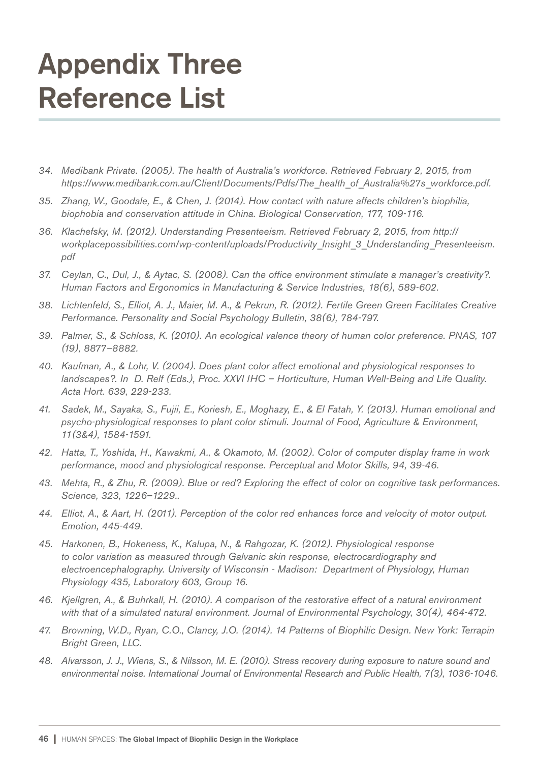#### **Appendix Three Reference List**

- *34. Medibank Private. (2005). The health of Australia's workforce. Retrieved February 2, 2015, from https://www.medibank.com.au/Client/Documents/Pdfs/The\_health\_of\_Australia%27s\_workforce.pdf.*
- *35. Zhang, W., Goodale, E., & Chen, J. (2014). How contact with nature affects children's biophilia, biophobia and conservation attitude in China. Biological Conservation, 177, 109-116.*
- *36. Klachefsky, M. (2012). Understanding Presenteeism. Retrieved February 2, 2015, from http:// workplacepossibilities.com/wp-content/uploads/Productivity\_Insight\_3\_Understanding\_Presenteeism. pdf*
- *37. Ceylan, C., Dul, J., & Aytac, S. (2008). Can the office environment stimulate a manager's creativity?. Human Factors and Ergonomics in Manufacturing & Service Industries, 18(6), 589-602.*
- *38. Lichtenfeld, S., Elliot, A. J., Maier, M. A., & Pekrun, R. (2012). Fertile Green Green Facilitates Creative Performance. Personality and Social Psychology Bulletin, 38(6), 784-797.*
- *39. Palmer, S., & Schloss, K. (2010). An ecological valence theory of human color preference. PNAS, 107 (19), 8877–8882.*
- *40. Kaufman, A., & Lohr, V. (2004). Does plant color affect emotional and physiological responses to landscapes?. In D. Relf (Eds.), Proc. XXVI IHC – Horticulture, Human Well-Being and Life Quality. Acta Hort. 639, 229-233.*
- *41. Sadek, M., Sayaka, S., Fujii, E., Koriesh, E., Moghazy, E., & El Fatah, Y. (2013). Human emotional and psycho-physiological responses to plant color stimuli. Journal of Food, Agriculture & Environment, 11(3&4), 1584-1591.*
- *42. Hatta, T., Yoshida, H., Kawakmi, A., & Okamoto, M. (2002). Color of computer display frame in work performance, mood and physiological response. Perceptual and Motor Skills, 94, 39-46.*
- *43. Mehta, R., & Zhu, R. (2009). Blue or red? Exploring the effect of color on cognitive task performances. Science, 323, 1226–1229..*
- *44. Elliot, A., & Aart, H. (2011). Perception of the color red enhances force and velocity of motor output. Emotion, 445-449.*
- *45. Harkonen, B., Hokeness, K., Kalupa, N., & Rahgozar, K. (2012). Physiological response to color variation as measured through Galvanic skin response, electrocardiography and electroencephalography. University of Wisconsin - Madison: Department of Physiology, Human Physiology 435, Laboratory 603, Group 16.*
- *46. Kjellgren, A., & Buhrkall, H. (2010). A comparison of the restorative effect of a natural environment with that of a simulated natural environment. Journal of Environmental Psychology, 30(4), 464-472.*
- *47. Browning, W.D., Ryan, C.O., Clancy, J.O. (2014). 14 Patterns of Biophilic Design. New York: Terrapin Bright Green, LLC.*
- *48. Alvarsson, J. J., Wiens, S., & Nilsson, M. E. (2010). Stress recovery during exposure to nature sound and environmental noise. International Journal of Environmental Research and Public Health, 7(3), 1036-1046.*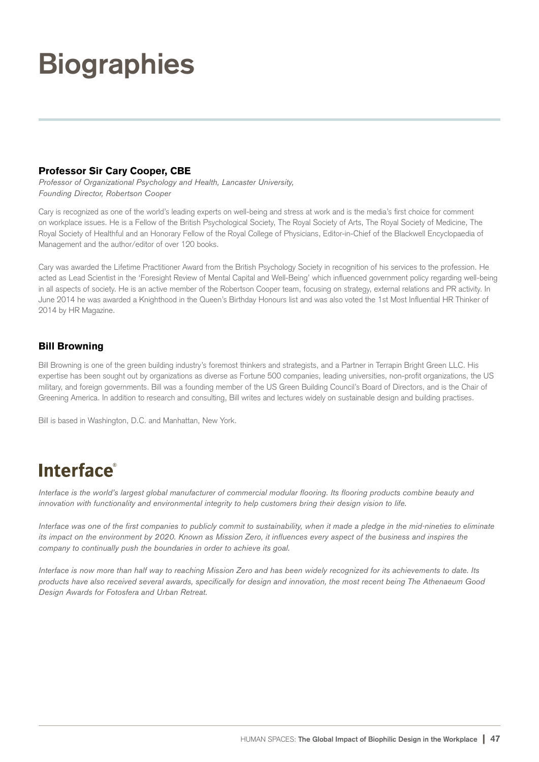### **Biographies**

#### Professor Sir Cary Cooper, CBE

*Professor of Organizational Psychology and Health, Lancaster University, Founding Director, Robertson Cooper*

Cary is recognized as one of the world's leading experts on well-being and stress at work and is the media's first choice for comment on workplace issues. He is a Fellow of the British Psychological Society, The Royal Society of Arts, The Royal Society of Medicine, The Royal Society of Healthful and an Honorary Fellow of the Royal College of Physicians, Editor-in-Chief of the Blackwell Encyclopaedia of Management and the author/editor of over 120 books.

Cary was awarded the Lifetime Practitioner Award from the British Psychology Society in recognition of his services to the profession. He acted as Lead Scientist in the 'Foresight Review of Mental Capital and Well-Being' which influenced government policy regarding well-being in all aspects of society. He is an active member of the Robertson Cooper team, focusing on strategy, external relations and PR activity. In June 2014 he was awarded a Knighthood in the Queen's Birthday Honours list and was also voted the 1st Most Influential HR Thinker of 2014 by HR Magazine.

#### Bill Browning

Bill Browning is one of the green building industry's foremost thinkers and strategists, and a Partner in Terrapin Bright Green LLC. His expertise has been sought out by organizations as diverse as Fortune 500 companies, leading universities, non-profit organizations, the US military, and foreign governments. Bill was a founding member of the US Green Building Council's Board of Directors, and is the Chair of Greening America. In addition to research and consulting, Bill writes and lectures widely on sustainable design and building practises.

Bill is based in Washington, D.C. and Manhattan, New York.

#### **Interface**®

*Interface is the world's largest global manufacturer of commercial modular flooring. Its flooring products combine beauty and innovation with functionality and environmental integrity to help customers bring their design vision to life.*

*Interface was one of the first companies to publicly commit to sustainability, when it made a pledge in the mid-nineties to eliminate its impact on the environment by 2020. Known as Mission Zero, it influences every aspect of the business and inspires the company to continually push the boundaries in order to achieve its goal.*

*Interface is now more than half way to reaching Mission Zero and has been widely recognized for its achievements to date. Its products have also received several awards, specifically for design and innovation, the most recent being The Athenaeum Good Design Awards for Fotosfera and Urban Retreat.*